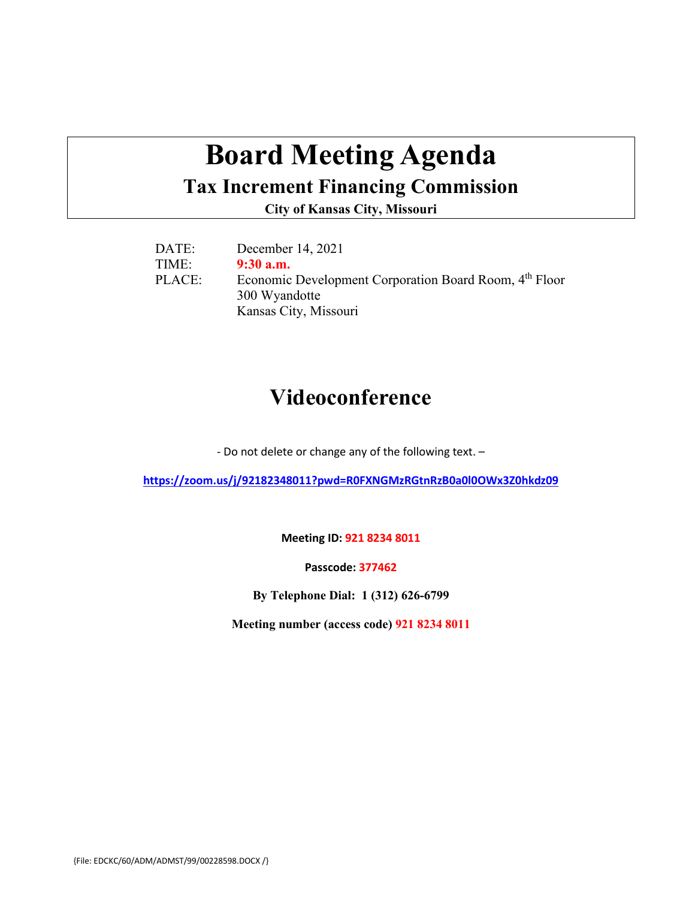# **Board Meeting Agenda**

### **Tax Increment Financing Commission**

**City of Kansas City, Missouri**

| DATE:  | December 14, 2021                                                  |
|--------|--------------------------------------------------------------------|
| TIME:  | $9:30$ a.m.                                                        |
| PLACE: | Economic Development Corporation Board Room, 4 <sup>th</sup> Floor |
|        | 300 Wyandotte                                                      |
|        | Kansas City, Missouri                                              |

# **Videoconference**

- Do not delete or change any of the following text. –

**<https://zoom.us/j/92182348011?pwd=R0FXNGMzRGtnRzB0a0l0OWx3Z0hkdz09>**

**Meeting ID: 921 8234 8011**

**Passcode: 377462**

**By Telephone Dial: 1 (312) 626-6799**

**Meeting number (access code) 921 8234 8011**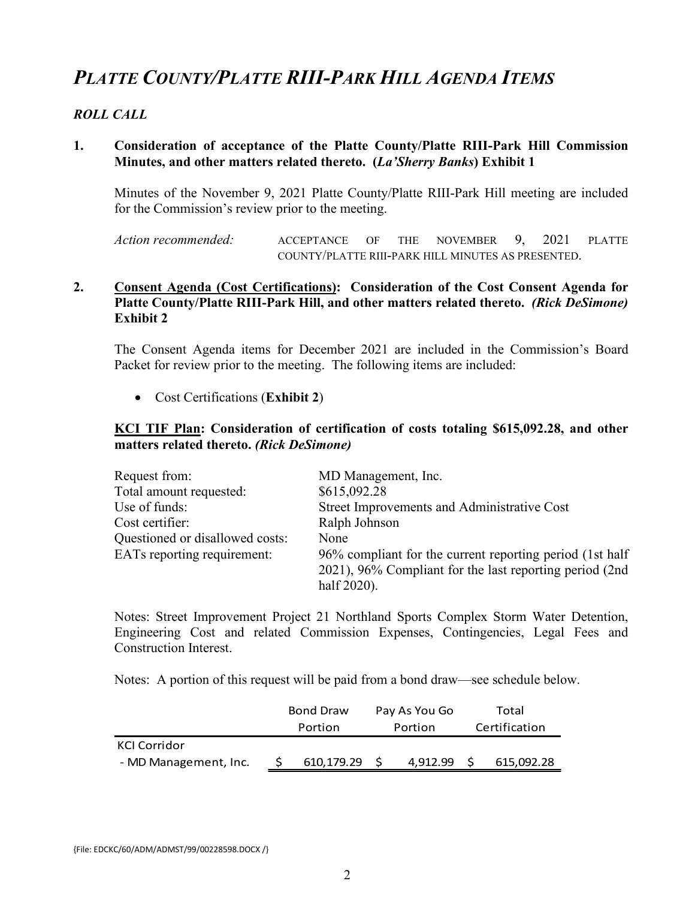# *PLATTE COUNTY/PLATTE RIII-PARK HILL AGENDA ITEMS*

#### *ROLL CALL*

#### **1. Consideration of acceptance of the Platte County/Platte RIII-Park Hill Commission Minutes, and other matters related thereto. (***La'Sherry Banks***) Exhibit 1**

Minutes of the November 9, 2021 Platte County/Platte RIII-Park Hill meeting are included for the Commission's review prior to the meeting.

*Action recommended:* ACCEPTANCE OF THE NOVEMBER 9, 2021 PLATTE COUNTY/PLATTE RIII-PARK HILL MINUTES AS PRESENTED.

#### **2. Consent Agenda (Cost Certifications): Consideration of the Cost Consent Agenda for Platte County/Platte RIII-Park Hill, and other matters related thereto.** *(Rick DeSimone)* **Exhibit 2**

The Consent Agenda items for December 2021 are included in the Commission's Board Packet for review prior to the meeting. The following items are included:

• Cost Certifications (**Exhibit 2**)

#### **KCI TIF Plan: Consideration of certification of costs totaling \$615,092.28, and other matters related thereto.** *(Rick DeSimone)*

| Request from:                   | MD Management, Inc.                                      |
|---------------------------------|----------------------------------------------------------|
| Total amount requested:         | \$615,092.28                                             |
| Use of funds:                   | Street Improvements and Administrative Cost              |
| Cost certifier:                 | Ralph Johnson                                            |
| Questioned or disallowed costs: | None                                                     |
| EATs reporting requirement:     | 96% compliant for the current reporting period (1st half |
|                                 | 2021), 96% Compliant for the last reporting period (2nd) |
|                                 | half 2020).                                              |

Notes: Street Improvement Project 21 Northland Sports Complex Storm Water Detention, Engineering Cost and related Commission Expenses, Contingencies, Legal Fees and Construction Interest.

Notes: A portion of this request will be paid from a bond draw—see schedule below.

|                       | <b>Bond Draw</b> |            | Pay As You Go |          | Total         |            |  |
|-----------------------|------------------|------------|---------------|----------|---------------|------------|--|
|                       | Portion          |            | Portion       |          | Certification |            |  |
| KCI Corridor          |                  |            |               |          |               |            |  |
| - MD Management, Inc. |                  | 610.179.29 |               | 4.912.99 |               | 615,092.28 |  |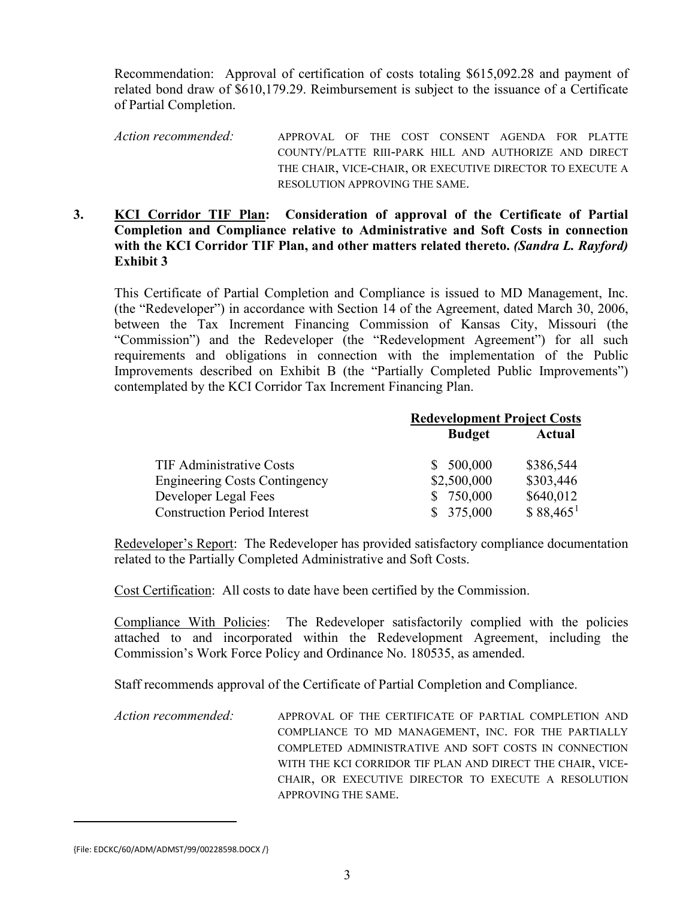Recommendation: Approval of certification of costs totaling \$615,092.28 and payment of related bond draw of \$610,179.29. Reimbursement is subject to the issuance of a Certificate of Partial Completion.

*Action recommended:* APPROVAL OF THE COST CONSENT AGENDA FOR PLATTE COUNTY/PLATTE RIII-PARK HILL AND AUTHORIZE AND DIRECT THE CHAIR, VICE-CHAIR, OR EXECUTIVE DIRECTOR TO EXECUTE A RESOLUTION APPROVING THE SAME.

#### **3. KCI Corridor TIF Plan: Consideration of approval of the Certificate of Partial Completion and Compliance relative to Administrative and Soft Costs in connection with the KCI Corridor TIF Plan, and other matters related thereto.** *(Sandra L. Rayford)* **Exhibit 3**

This Certificate of Partial Completion and Compliance is issued to MD Management, Inc. (the "Redeveloper") in accordance with Section 14 of the Agreement, dated March 30, 2006, between the Tax Increment Financing Commission of Kansas City, Missouri (the "Commission") and the Redeveloper (the "Redevelopment Agreement") for all such requirements and obligations in connection with the implementation of the Public Improvements described on Exhibit B (the "Partially Completed Public Improvements") contemplated by the KCI Corridor Tax Increment Financing Plan.

|                                      | <b>Redevelopment Project Costs</b> |                        |  |  |
|--------------------------------------|------------------------------------|------------------------|--|--|
|                                      | <b>Budget</b>                      | <b>Actual</b>          |  |  |
| <b>TIF Administrative Costs</b>      | 500,000<br>S.                      | \$386,544              |  |  |
| <b>Engineering Costs Contingency</b> | \$2,500,000                        | \$303,446              |  |  |
| Developer Legal Fees                 | \$750,000                          | \$640,012              |  |  |
| <b>Construction Period Interest</b>  | 375,000                            | $$88,465$ <sup>1</sup> |  |  |

Redeveloper's Report: The Redeveloper has provided satisfactory compliance documentation related to the Partially Completed Administrative and Soft Costs.

Cost Certification: All costs to date have been certified by the Commission.

Compliance With Policies: The Redeveloper satisfactorily complied with the policies attached to and incorporated within the Redevelopment Agreement, including the Commission's Work Force Policy and Ordinance No. 180535, as amended.

Staff recommends approval of the Certificate of Partial Completion and Compliance.

*Action recommended:* APPROVAL OF THE CERTIFICATE OF PARTIAL COMPLETION AND COMPLIANCE TO MD MANAGEMENT, INC. FOR THE PARTIALLY COMPLETED ADMINISTRATIVE AND SOFT COSTS IN CONNECTION WITH THE KCI CORRIDOR TIF PLAN AND DIRECT THE CHAIR, VICE-CHAIR, OR EXECUTIVE DIRECTOR TO EXECUTE A RESOLUTION APPROVING THE SAME.

<span id="page-2-0"></span><sup>{</sup>File: EDCKC/60/ADM/ADMST/99/00228598.DOCX /}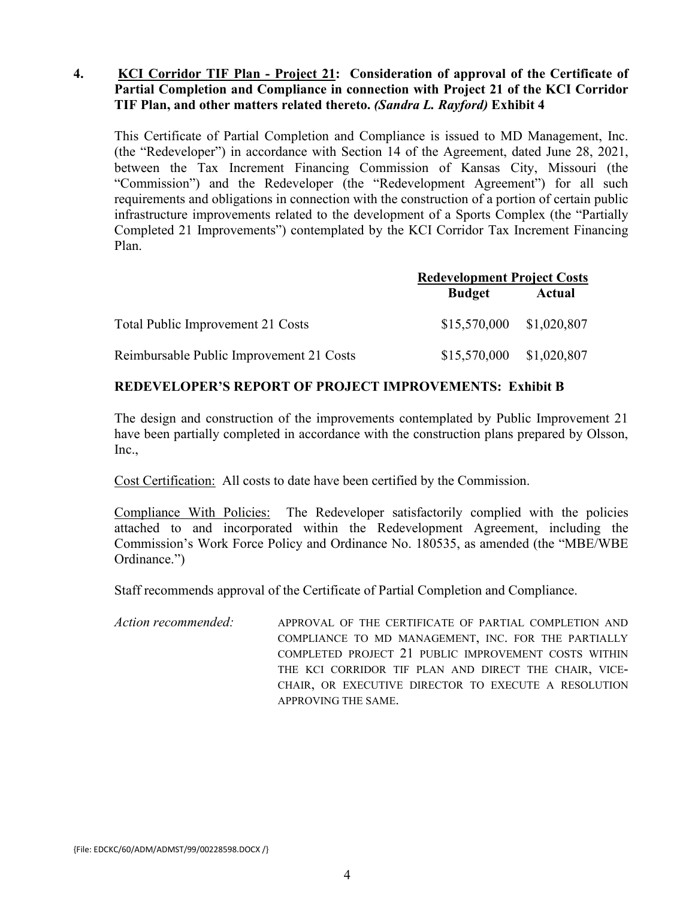#### **4. KCI Corridor TIF Plan - Project 21: Consideration of approval of the Certificate of Partial Completion and Compliance in connection with Project 21 of the KCI Corridor TIF Plan, and other matters related thereto.** *(Sandra L. Rayford)* **Exhibit 4**

This Certificate of Partial Completion and Compliance is issued to MD Management, Inc. (the "Redeveloper") in accordance with Section 14 of the Agreement, dated June 28, 2021, between the Tax Increment Financing Commission of Kansas City, Missouri (the "Commission") and the Redeveloper (the "Redevelopment Agreement") for all such requirements and obligations in connection with the construction of a portion of certain public infrastructure improvements related to the development of a Sports Complex (the "Partially Completed 21 Improvements") contemplated by the KCI Corridor Tax Increment Financing Plan.

|                                          | <b>Redevelopment Project Costs</b><br><b>Budget</b><br>Actual<br>\$15,570,000 \$1,020,807 |  |  |
|------------------------------------------|-------------------------------------------------------------------------------------------|--|--|
|                                          |                                                                                           |  |  |
| Total Public Improvement 21 Costs        |                                                                                           |  |  |
| Reimbursable Public Improvement 21 Costs | $$15,570,000$ $$1,020,807$                                                                |  |  |

#### **REDEVELOPER'S REPORT OF PROJECT IMPROVEMENTS: Exhibit B**

The design and construction of the improvements contemplated by Public Improvement 21 have been partially completed in accordance with the construction plans prepared by Olsson, Inc.,

Cost Certification: All costs to date have been certified by the Commission.

Compliance With Policies:The Redeveloper satisfactorily complied with the policies attached to and incorporated within the Redevelopment Agreement, including the Commission's Work Force Policy and Ordinance No. 180535, as amended (the "MBE/WBE Ordinance.")

Staff recommends approval of the Certificate of Partial Completion and Compliance.

*Action recommended:* APPROVAL OF THE CERTIFICATE OF PARTIAL COMPLETION AND COMPLIANCE TO MD MANAGEMENT, INC. FOR THE PARTIALLY COMPLETED PROJECT 21 PUBLIC IMPROVEMENT COSTS WITHIN THE KCI CORRIDOR TIF PLAN AND DIRECT THE CHAIR, VICE-CHAIR, OR EXECUTIVE DIRECTOR TO EXECUTE A RESOLUTION APPROVING THE SAME.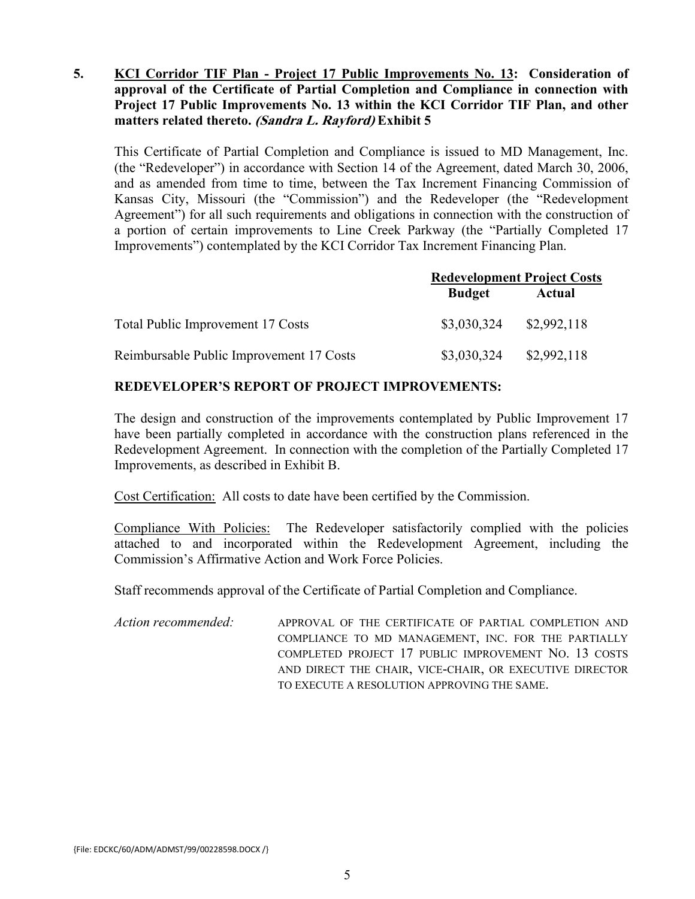#### **5. KCI Corridor TIF Plan - Project 17 Public Improvements No. 13: Consideration of approval of the Certificate of Partial Completion and Compliance in connection with Project 17 Public Improvements No. 13 within the KCI Corridor TIF Plan, and other matters related thereto. (Sandra L. Rayford) Exhibit 5**

This Certificate of Partial Completion and Compliance is issued to MD Management, Inc. (the "Redeveloper") in accordance with Section 14 of the Agreement, dated March 30, 2006, and as amended from time to time, between the Tax Increment Financing Commission of Kansas City, Missouri (the "Commission") and the Redeveloper (the "Redevelopment Agreement") for all such requirements and obligations in connection with the construction of a portion of certain improvements to Line Creek Parkway (the "Partially Completed 17 Improvements") contemplated by the KCI Corridor Tax Increment Financing Plan.

|                                          | <b>Redevelopment Project Costs</b> |             |  |
|------------------------------------------|------------------------------------|-------------|--|
|                                          | <b>Budget</b>                      | Actual      |  |
| Total Public Improvement 17 Costs        | \$3,030,324                        | \$2,992,118 |  |
| Reimbursable Public Improvement 17 Costs | \$3,030,324                        | \$2,992,118 |  |

#### **REDEVELOPER'S REPORT OF PROJECT IMPROVEMENTS:**

The design and construction of the improvements contemplated by Public Improvement 17 have been partially completed in accordance with the construction plans referenced in the Redevelopment Agreement. In connection with the completion of the Partially Completed 17 Improvements, as described in Exhibit B.

Cost Certification: All costs to date have been certified by the Commission.

Compliance With Policies:The Redeveloper satisfactorily complied with the policies attached to and incorporated within the Redevelopment Agreement, including the Commission's Affirmative Action and Work Force Policies.

Staff recommends approval of the Certificate of Partial Completion and Compliance.

*Action recommended:* APPROVAL OF THE CERTIFICATE OF PARTIAL COMPLETION AND COMPLIANCE TO MD MANAGEMENT, INC. FOR THE PARTIALLY COMPLETED PROJECT 17 PUBLIC IMPROVEMENT NO. 13 COSTS AND DIRECT THE CHAIR, VICE-CHAIR, OR EXECUTIVE DIRECTOR TO EXECUTE A RESOLUTION APPROVING THE SAME.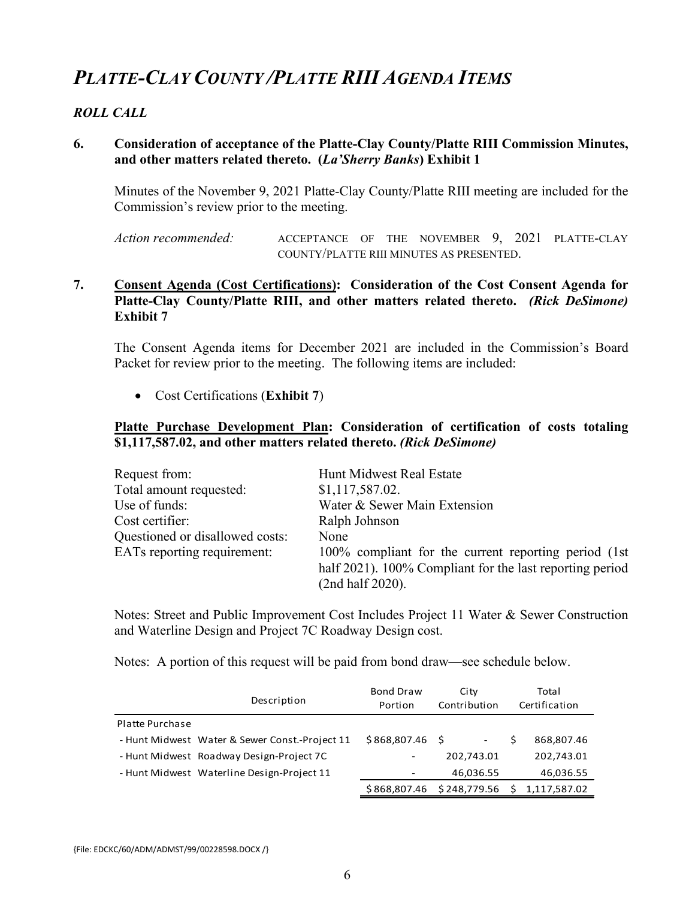# *PLATTE-CLAY COUNTY /PLATTE RIII AGENDA ITEMS*

#### *ROLL CALL*

#### **6. Consideration of acceptance of the Platte-Clay County/Platte RIII Commission Minutes, and other matters related thereto. (***La'Sherry Banks***) Exhibit 1**

Minutes of the November 9, 2021 Platte-Clay County/Platte RIII meeting are included for the Commission's review prior to the meeting.

*Action recommended:* ACCEPTANCE OF THE NOVEMBER 9, 2021 PLATTE-CLAY COUNTY/PLATTE RIII MINUTES AS PRESENTED.

#### **7. Consent Agenda (Cost Certifications): Consideration of the Cost Consent Agenda for Platte-Clay County/Platte RIII, and other matters related thereto.** *(Rick DeSimone)* **Exhibit 7**

The Consent Agenda items for December 2021 are included in the Commission's Board Packet for review prior to the meeting. The following items are included:

• Cost Certifications (**Exhibit 7**)

#### **Platte Purchase Development Plan: Consideration of certification of costs totaling \$1,117,587.02, and other matters related thereto.** *(Rick DeSimone)*

| Request from:                   | Hunt Midwest Real Estate                                                                                                              |
|---------------------------------|---------------------------------------------------------------------------------------------------------------------------------------|
| Total amount requested:         | \$1,117,587.02.                                                                                                                       |
| Use of funds:                   | Water & Sewer Main Extension                                                                                                          |
| Cost certifier:                 | Ralph Johnson                                                                                                                         |
| Questioned or disallowed costs: | None                                                                                                                                  |
| EATs reporting requirement:     | 100% compliant for the current reporting period (1st)<br>half 2021). 100% Compliant for the last reporting period<br>(2nd half 2020). |

Notes: Street and Public Improvement Cost Includes Project 11 Water & Sewer Construction and Waterline Design and Project 7C Roadway Design cost.

Notes: A portion of this request will be paid from bond draw—see schedule below.

|                        | Description                                    | <b>Bond Draw</b><br>Portion | City<br>Contribution      | Total<br>Certification |              |
|------------------------|------------------------------------------------|-----------------------------|---------------------------|------------------------|--------------|
| <b>Platte Purchase</b> |                                                |                             |                           |                        |              |
|                        | - Hunt Midwest Water & Sewer Const.-Project 11 | $$868,807.46$ \$            | $\overline{\phantom{a}}$  | S                      | 868,807.46   |
|                        | - Hunt Midwest Roadway Design-Project 7C       |                             | 202,743.01                |                        | 202,743.01   |
|                        | - Hunt Midwest Waterline Design-Project 11     |                             | 46,036.55                 |                        | 46,036.55    |
|                        |                                                |                             | \$868,807.46 \$248,779.56 | - \$                   | 1,117,587.02 |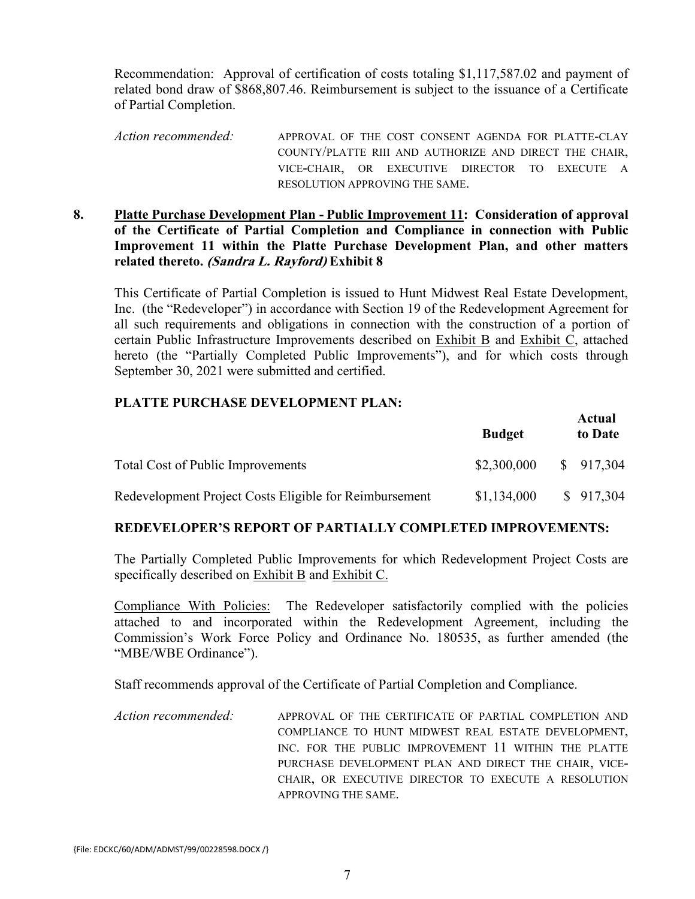Recommendation: Approval of certification of costs totaling \$1,117,587.02 and payment of related bond draw of \$868,807.46. Reimbursement is subject to the issuance of a Certificate of Partial Completion.

- *Action recommended:* APPROVAL OF THE COST CONSENT AGENDA FOR PLATTE-CLAY COUNTY/PLATTE RIII AND AUTHORIZE AND DIRECT THE CHAIR, VICE-CHAIR, OR EXECUTIVE DIRECTOR TO EXECUTE A RESOLUTION APPROVING THE SAME.
- **8. Platte Purchase Development Plan - Public Improvement 11: Consideration of approval of the Certificate of Partial Completion and Compliance in connection with Public Improvement 11 within the Platte Purchase Development Plan, and other matters related thereto. (Sandra L. Rayford) Exhibit 8**

This Certificate of Partial Completion is issued to Hunt Midwest Real Estate Development, Inc. (the "Redeveloper") in accordance with Section 19 of the Redevelopment Agreement for all such requirements and obligations in connection with the construction of a portion of certain Public Infrastructure Improvements described on Exhibit B and Exhibit C, attached hereto (the "Partially Completed Public Improvements"), and for which costs through September 30, 2021 were submitted and certified.

#### **PLATTE PURCHASE DEVELOPMENT PLAN:**

|                                                        | <b>Budget</b> | Actual<br>to Date |
|--------------------------------------------------------|---------------|-------------------|
| <b>Total Cost of Public Improvements</b>               | \$2,300,000   | \$917,304         |
| Redevelopment Project Costs Eligible for Reimbursement | \$1,134,000   | \$917,304         |

#### **REDEVELOPER'S REPORT OF PARTIALLY COMPLETED IMPROVEMENTS:**

The Partially Completed Public Improvements for which Redevelopment Project Costs are specifically described on Exhibit B and Exhibit C.

Compliance With Policies:The Redeveloper satisfactorily complied with the policies attached to and incorporated within the Redevelopment Agreement, including the Commission's Work Force Policy and Ordinance No. 180535, as further amended (the "MBE/WBE Ordinance").

Staff recommends approval of the Certificate of Partial Completion and Compliance.

*Action recommended:* APPROVAL OF THE CERTIFICATE OF PARTIAL COMPLETION AND COMPLIANCE TO HUNT MIDWEST REAL ESTATE DEVELOPMENT, INC. FOR THE PUBLIC IMPROVEMENT 11 WITHIN THE PLATTE PURCHASE DEVELOPMENT PLAN AND DIRECT THE CHAIR, VICE-CHAIR, OR EXECUTIVE DIRECTOR TO EXECUTE A RESOLUTION APPROVING THE SAME.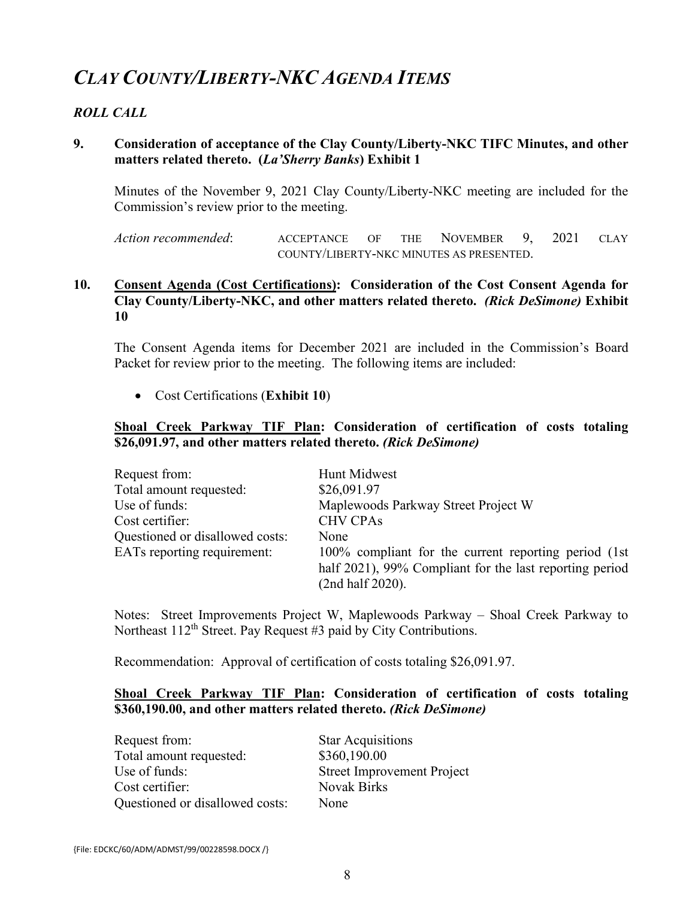# *CLAY COUNTY/LIBERTY-NKC AGENDA ITEMS*

#### *ROLL CALL*

#### **9. Consideration of acceptance of the Clay County/Liberty-NKC TIFC Minutes, and other matters related thereto. (***La'Sherry Banks***) Exhibit 1**

Minutes of the November 9, 2021 Clay County/Liberty-NKC meeting are included for the Commission's review prior to the meeting.

*Action recommended*: ACCEPTANCE OF THE NOVEMBER 9, 2021 CLAY COUNTY/LIBERTY-NKC MINUTES AS PRESENTED.

#### **10. Consent Agenda (Cost Certifications): Consideration of the Cost Consent Agenda for Clay County/Liberty-NKC, and other matters related thereto.** *(Rick DeSimone)* **Exhibit 10**

The Consent Agenda items for December 2021 are included in the Commission's Board Packet for review prior to the meeting. The following items are included:

• Cost Certifications (**Exhibit 10**)

#### **Shoal Creek Parkway TIF Plan: Consideration of certification of costs totaling \$26,091.97, and other matters related thereto.** *(Rick DeSimone)*

| Request from:                   | Hunt Midwest                                                                                                                         |
|---------------------------------|--------------------------------------------------------------------------------------------------------------------------------------|
| Total amount requested:         | \$26,091.97                                                                                                                          |
| Use of funds:                   | Maplewoods Parkway Street Project W                                                                                                  |
| Cost certifier:                 | <b>CHV CPAs</b>                                                                                                                      |
| Questioned or disallowed costs: | None                                                                                                                                 |
| EATs reporting requirement:     | 100% compliant for the current reporting period (1st)<br>half 2021), 99% Compliant for the last reporting period<br>(2nd half 2020). |

Notes: Street Improvements Project W, Maplewoods Parkway – Shoal Creek Parkway to Northeast  $112<sup>th</sup>$  Street. Pay Request #3 paid by City Contributions.

Recommendation: Approval of certification of costs totaling \$26,091.97.

#### **Shoal Creek Parkway TIF Plan: Consideration of certification of costs totaling \$360,190.00, and other matters related thereto.** *(Rick DeSimone)*

Request from: Star Acquisitions Total amount requested:  $$360,190.00$ Use of funds: Street Improvement Project Cost certifier: Novak Birks Questioned or disallowed costs: None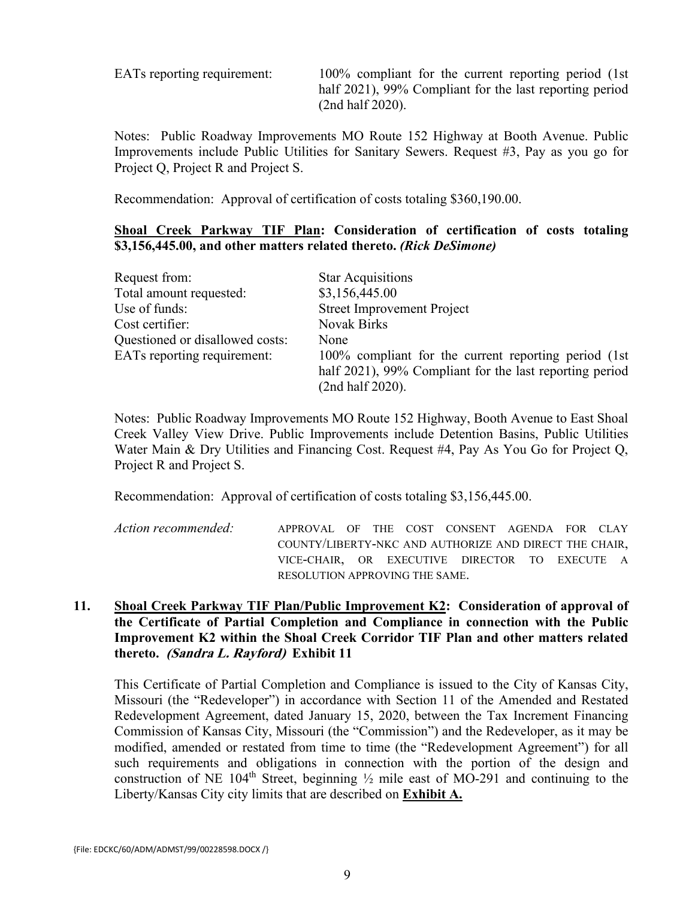EATs reporting requirement: 100% compliant for the current reporting period (1st half 2021), 99% Compliant for the last reporting period (2nd half 2020).

Notes: Public Roadway Improvements MO Route 152 Highway at Booth Avenue. Public Improvements include Public Utilities for Sanitary Sewers. Request #3, Pay as you go for Project Q, Project R and Project S.

Recommendation: Approval of certification of costs totaling \$360,190.00.

#### **Shoal Creek Parkway TIF Plan: Consideration of certification of costs totaling \$3,156,445.00, and other matters related thereto.** *(Rick DeSimone)*

| Request from:                   | <b>Star Acquisitions</b>                                                                                                             |
|---------------------------------|--------------------------------------------------------------------------------------------------------------------------------------|
| Total amount requested:         | \$3,156,445.00                                                                                                                       |
| Use of funds:                   | <b>Street Improvement Project</b>                                                                                                    |
| Cost certifier:                 | <b>Novak Birks</b>                                                                                                                   |
| Questioned or disallowed costs: | None                                                                                                                                 |
| EATs reporting requirement:     | 100% compliant for the current reporting period (1st)<br>half 2021), 99% Compliant for the last reporting period<br>(2nd half 2020). |

Notes: Public Roadway Improvements MO Route 152 Highway, Booth Avenue to East Shoal Creek Valley View Drive. Public Improvements include Detention Basins, Public Utilities Water Main & Dry Utilities and Financing Cost. Request #4, Pay As You Go for Project Q, Project R and Project S.

Recommendation: Approval of certification of costs totaling \$3,156,445.00.

| Action recommended: | APPROVAL OF THE COST CONSENT AGENDA FOR CLAY           |  |  |  |  |
|---------------------|--------------------------------------------------------|--|--|--|--|
|                     | COUNTY/LIBERTY-NKC AND AUTHORIZE AND DIRECT THE CHAIR, |  |  |  |  |
|                     | VICE-CHAIR, OR EXECUTIVE DIRECTOR TO EXECUTE A         |  |  |  |  |
|                     | RESOLUTION APPROVING THE SAME.                         |  |  |  |  |

#### **11. Shoal Creek Parkway TIF Plan/Public Improvement K2: Consideration of approval of the Certificate of Partial Completion and Compliance in connection with the Public Improvement K2 within the Shoal Creek Corridor TIF Plan and other matters related thereto. (Sandra L. Rayford) Exhibit 11**

This Certificate of Partial Completion and Compliance is issued to the City of Kansas City, Missouri (the "Redeveloper") in accordance with Section 11 of the Amended and Restated Redevelopment Agreement, dated January 15, 2020, between the Tax Increment Financing Commission of Kansas City, Missouri (the "Commission") and the Redeveloper, as it may be modified, amended or restated from time to time (the "Redevelopment Agreement") for all such requirements and obligations in connection with the portion of the design and construction of NE 104<sup>th</sup> Street, beginning  $\frac{1}{2}$  mile east of MO-291 and continuing to the Liberty/Kansas City city limits that are described on **Exhibit A.**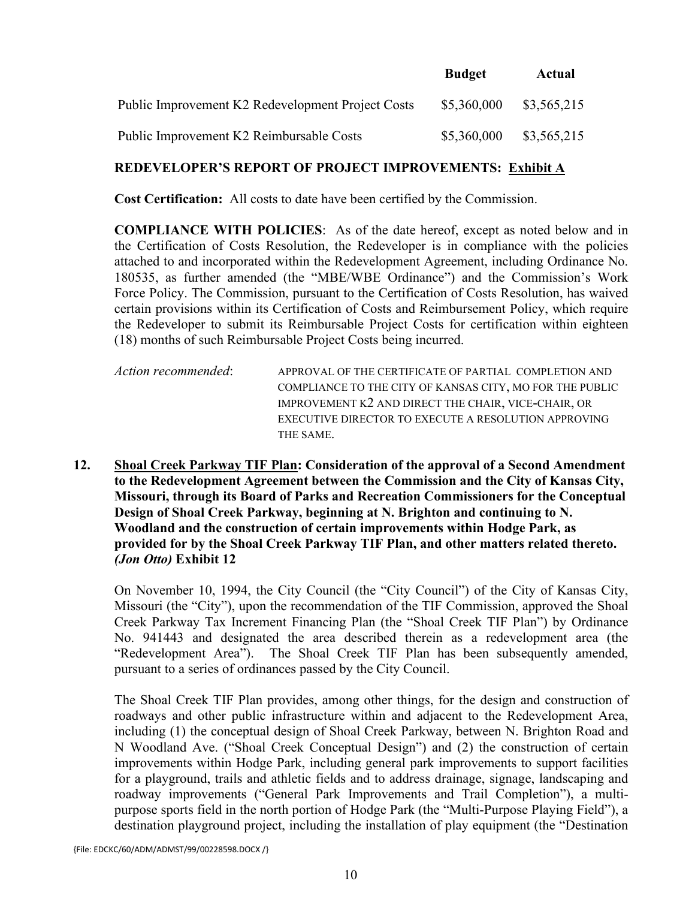|                                                   | <b>Budget</b> | Actual      |
|---------------------------------------------------|---------------|-------------|
| Public Improvement K2 Redevelopment Project Costs | \$5,360,000   | \$3,565,215 |
| Public Improvement K2 Reimbursable Costs          | \$5,360,000   | \$3,565,215 |

#### **REDEVELOPER'S REPORT OF PROJECT IMPROVEMENTS: Exhibit A**

**Cost Certification:** All costs to date have been certified by the Commission.

**COMPLIANCE WITH POLICIES**: As of the date hereof, except as noted below and in the Certification of Costs Resolution, the Redeveloper is in compliance with the policies attached to and incorporated within the Redevelopment Agreement, including Ordinance No. 180535, as further amended (the "MBE/WBE Ordinance") and the Commission's Work Force Policy. The Commission, pursuant to the Certification of Costs Resolution, has waived certain provisions within its Certification of Costs and Reimbursement Policy, which require the Redeveloper to submit its Reimbursable Project Costs for certification within eighteen (18) months of such Reimbursable Project Costs being incurred.

*Action recommended*: APPROVAL OF THE CERTIFICATE OF PARTIAL COMPLETION AND COMPLIANCE TO THE CITY OF KANSAS CITY, MO FOR THE PUBLIC IMPROVEMENT K2 AND DIRECT THE CHAIR, VICE-CHAIR, OR EXECUTIVE DIRECTOR TO EXECUTE A RESOLUTION APPROVING THE SAME.

**12. Shoal Creek Parkway TIF Plan: Consideration of the approval of a Second Amendment to the Redevelopment Agreement between the Commission and the City of Kansas City, Missouri, through its Board of Parks and Recreation Commissioners for the Conceptual Design of Shoal Creek Parkway, beginning at N. Brighton and continuing to N. Woodland and the construction of certain improvements within Hodge Park, as provided for by the Shoal Creek Parkway TIF Plan, and other matters related thereto.**  *(Jon Otto)* **Exhibit 12**

On November 10, 1994, the City Council (the "City Council") of the City of Kansas City, Missouri (the "City"), upon the recommendation of the TIF Commission, approved the Shoal Creek Parkway Tax Increment Financing Plan (the "Shoal Creek TIF Plan") by Ordinance No. 941443 and designated the area described therein as a redevelopment area (the "Redevelopment Area"). The Shoal Creek TIF Plan has been subsequently amended, pursuant to a series of ordinances passed by the City Council.

The Shoal Creek TIF Plan provides, among other things, for the design and construction of roadways and other public infrastructure within and adjacent to the Redevelopment Area, including (1) the conceptual design of Shoal Creek Parkway, between N. Brighton Road and N Woodland Ave. ("Shoal Creek Conceptual Design") and (2) the construction of certain improvements within Hodge Park, including general park improvements to support facilities for a playground, trails and athletic fields and to address drainage, signage, landscaping and roadway improvements ("General Park Improvements and Trail Completion"), a multipurpose sports field in the north portion of Hodge Park (the "Multi-Purpose Playing Field"), a destination playground project, including the installation of play equipment (the "Destination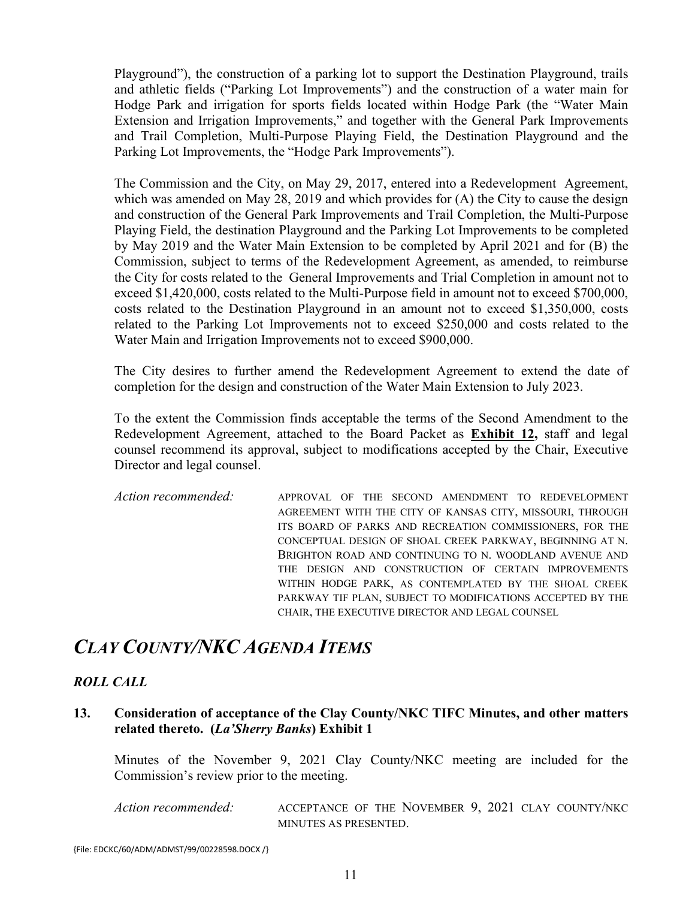Playground"), the construction of a parking lot to support the Destination Playground, trails and athletic fields ("Parking Lot Improvements") and the construction of a water main for Hodge Park and irrigation for sports fields located within Hodge Park (the "Water Main Extension and Irrigation Improvements," and together with the General Park Improvements and Trail Completion, Multi-Purpose Playing Field, the Destination Playground and the Parking Lot Improvements, the "Hodge Park Improvements").

The Commission and the City, on May 29, 2017, entered into a Redevelopment Agreement, which was amended on May 28, 2019 and which provides for (A) the City to cause the design and construction of the General Park Improvements and Trail Completion, the Multi-Purpose Playing Field, the destination Playground and the Parking Lot Improvements to be completed by May 2019 and the Water Main Extension to be completed by April 2021 and for (B) the Commission, subject to terms of the Redevelopment Agreement, as amended, to reimburse the City for costs related to the General Improvements and Trial Completion in amount not to exceed \$1,420,000, costs related to the Multi-Purpose field in amount not to exceed \$700,000, costs related to the Destination Playground in an amount not to exceed \$1,350,000, costs related to the Parking Lot Improvements not to exceed \$250,000 and costs related to the Water Main and Irrigation Improvements not to exceed \$900,000.

The City desires to further amend the Redevelopment Agreement to extend the date of completion for the design and construction of the Water Main Extension to July 2023.

To the extent the Commission finds acceptable the terms of the Second Amendment to the Redevelopment Agreement, attached to the Board Packet as **Exhibit 12,** staff and legal counsel recommend its approval, subject to modifications accepted by the Chair, Executive Director and legal counsel.

*Action recommended:* APPROVAL OF THE SECOND AMENDMENT TO REDEVELOPMENT AGREEMENT WITH THE CITY OF KANSAS CITY, MISSOURI, THROUGH ITS BOARD OF PARKS AND RECREATION COMMISSIONERS, FOR THE CONCEPTUAL DESIGN OF SHOAL CREEK PARKWAY, BEGINNING AT N. BRIGHTON ROAD AND CONTINUING TO N. WOODLAND AVENUE AND THE DESIGN AND CONSTRUCTION OF CERTAIN IMPROVEMENTS WITHIN HODGE PARK, AS CONTEMPLATED BY THE SHOAL CREEK PARKWAY TIF PLAN, SUBJECT TO MODIFICATIONS ACCEPTED BY THE CHAIR, THE EXECUTIVE DIRECTOR AND LEGAL COUNSEL

### *CLAY COUNTY/NKC AGENDA ITEMS*

#### *ROLL CALL*

#### **13. Consideration of acceptance of the Clay County/NKC TIFC Minutes, and other matters related thereto. (***La'Sherry Banks***) Exhibit 1**

Minutes of the November 9, 2021 Clay County/NKC meeting are included for the Commission's review prior to the meeting.

*Action recommended:* ACCEPTANCE OF THE NOVEMBER 9, 2021 CLAY COUNTY/NKC MINUTES AS PRESENTED.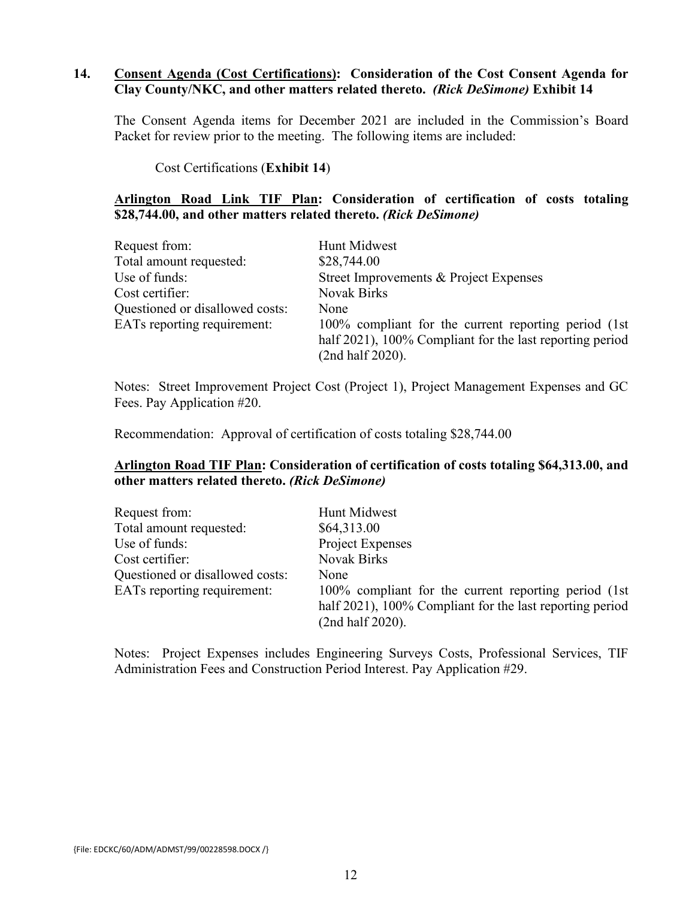#### **14. Consent Agenda (Cost Certifications): Consideration of the Cost Consent Agenda for Clay County/NKC, and other matters related thereto.** *(Rick DeSimone)* **Exhibit 14**

The Consent Agenda items for December 2021 are included in the Commission's Board Packet for review prior to the meeting. The following items are included:

Cost Certifications (**Exhibit 14**)

#### **Arlington Road Link TIF Plan: Consideration of certification of costs totaling \$28,744.00, and other matters related thereto.** *(Rick DeSimone)*

| Request from:                   | Hunt Midwest                                                                                                                          |
|---------------------------------|---------------------------------------------------------------------------------------------------------------------------------------|
| Total amount requested:         | \$28,744.00                                                                                                                           |
| Use of funds:                   | Street Improvements & Project Expenses                                                                                                |
| Cost certifier:                 | <b>Novak Birks</b>                                                                                                                    |
| Questioned or disallowed costs: | None                                                                                                                                  |
| EATs reporting requirement:     | 100% compliant for the current reporting period (1st)<br>half 2021), 100% Compliant for the last reporting period<br>(2nd half 2020). |

Notes: Street Improvement Project Cost (Project 1), Project Management Expenses and GC Fees. Pay Application #20.

Recommendation: Approval of certification of costs totaling \$28,744.00

#### **Arlington Road TIF Plan: Consideration of certification of costs totaling \$64,313.00, and other matters related thereto.** *(Rick DeSimone)*

| Request from:                   | Hunt Midwest                                                                                                                          |
|---------------------------------|---------------------------------------------------------------------------------------------------------------------------------------|
| Total amount requested:         | \$64,313.00                                                                                                                           |
| Use of funds:                   | Project Expenses                                                                                                                      |
| Cost certifier:                 | <b>Novak Birks</b>                                                                                                                    |
| Questioned or disallowed costs: | None                                                                                                                                  |
| EATs reporting requirement:     | 100% compliant for the current reporting period (1st)<br>half 2021), 100% Compliant for the last reporting period<br>(2nd half 2020). |

Notes: Project Expenses includes Engineering Surveys Costs, Professional Services, TIF Administration Fees and Construction Period Interest. Pay Application #29.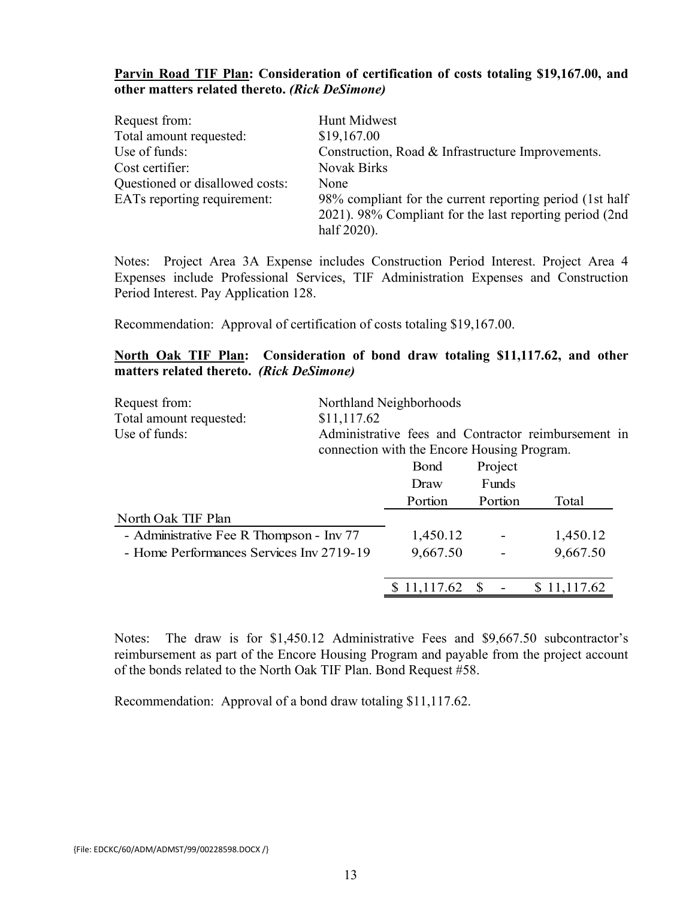#### **Parvin Road TIF Plan: Consideration of certification of costs totaling \$19,167.00, and other matters related thereto.** *(Rick DeSimone)*

| Request from:                   | Hunt Midwest                                             |
|---------------------------------|----------------------------------------------------------|
| Total amount requested:         | \$19,167.00                                              |
| Use of funds:                   | Construction, Road & Infrastructure Improvements.        |
| Cost certifier:                 | <b>Novak Birks</b>                                       |
| Questioned or disallowed costs: | None                                                     |
| EATs reporting requirement:     | 98% compliant for the current reporting period (1st half |
|                                 | 2021). 98% Compliant for the last reporting period (2nd) |
|                                 | half 2020).                                              |

Notes: Project Area 3A Expense includes Construction Period Interest. Project Area 4 Expenses include Professional Services, TIF Administration Expenses and Construction Period Interest. Pay Application 128.

Recommendation: Approval of certification of costs totaling \$19,167.00.

#### **North Oak TIF Plan: Consideration of bond draw totaling \$11,117.62, and other matters related thereto.** *(Rick DeSimone)*

| Request from:                            |             | Northland Neighborhoods                     |         |                                                     |
|------------------------------------------|-------------|---------------------------------------------|---------|-----------------------------------------------------|
| Total amount requested:                  | \$11,117.62 |                                             |         |                                                     |
| Use of funds:                            |             | connection with the Encore Housing Program. |         | Administrative fees and Contractor reimbursement in |
|                                          |             | <b>B</b> ond                                | Project |                                                     |
|                                          |             | Draw                                        | Funds   |                                                     |
|                                          |             | Portion                                     | Portion | Total                                               |
| North Oak TIF Plan                       |             |                                             |         |                                                     |
| - Administrative Fee R Thompson - Inv 77 |             | 1,450.12                                    |         | 1,450.12                                            |
| - Home Performances Services Inv 2719-19 |             | 9,667.50                                    |         | 9,667.50                                            |
|                                          |             |                                             |         |                                                     |
|                                          |             | \$11,117.62                                 | -S      | \$11,117.62                                         |

Notes: The draw is for \$1,450.12 Administrative Fees and \$9,667.50 subcontractor's reimbursement as part of the Encore Housing Program and payable from the project account of the bonds related to the North Oak TIF Plan. Bond Request #58.

Recommendation: Approval of a bond draw totaling \$11,117.62.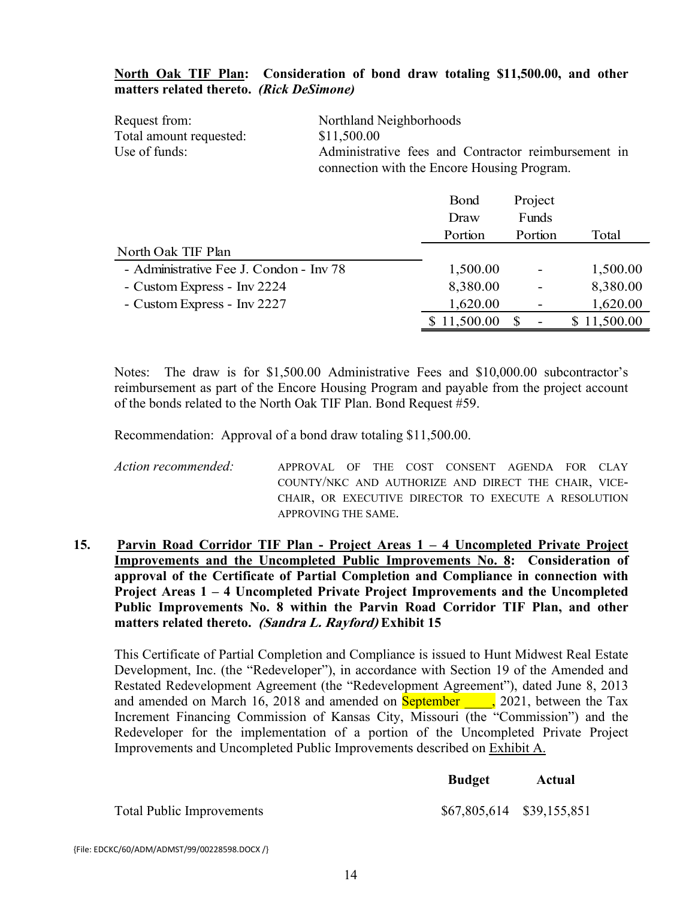#### **North Oak TIF Plan: Consideration of bond draw totaling \$11,500.00, and other matters related thereto.** *(Rick DeSimone)*

| Request from:           | Northland Neighborhoods                             |
|-------------------------|-----------------------------------------------------|
| Total amount requested: | \$11,500.00                                         |
| Use of funds:           | Administrative fees and Contractor reimbursement in |
|                         | connection with the Encore Housing Program.         |

|                                         | Bond      | Project                  |           |
|-----------------------------------------|-----------|--------------------------|-----------|
|                                         | Draw      | Funds                    |           |
|                                         | Portion   | Portion                  | Total     |
| North Oak TIF Plan                      |           |                          |           |
| - Administrative Fee J. Condon - Inv 78 | 1,500.00  | $\overline{\phantom{0}}$ | 1,500.00  |
| - Custom Express - Inv 2224             | 8,380.00  |                          | 8,380.00  |
| - Custom Express - Inv 2227             | 1,620.00  |                          | 1,620.00  |
|                                         | 11,500.00 | \$                       | 11,500.00 |

Notes: The draw is for \$1,500.00 Administrative Fees and \$10,000.00 subcontractor's reimbursement as part of the Encore Housing Program and payable from the project account of the bonds related to the North Oak TIF Plan. Bond Request #59.

Recommendation: Approval of a bond draw totaling \$11,500.00.

*Action recommended:* APPROVAL OF THE COST CONSENT AGENDA FOR CLAY COUNTY/NKC AND AUTHORIZE AND DIRECT THE CHAIR, VICE-CHAIR, OR EXECUTIVE DIRECTOR TO EXECUTE A RESOLUTION APPROVING THE SAME.

**15. Parvin Road Corridor TIF Plan - Project Areas 1 – 4 Uncompleted Private Project Improvements and the Uncompleted Public Improvements No. 8: Consideration of approval of the Certificate of Partial Completion and Compliance in connection with Project Areas 1 – 4 Uncompleted Private Project Improvements and the Uncompleted Public Improvements No. 8 within the Parvin Road Corridor TIF Plan, and other matters related thereto. (Sandra L. Rayford) Exhibit 15**

This Certificate of Partial Completion and Compliance is issued to Hunt Midwest Real Estate Development, Inc. (the "Redeveloper"), in accordance with Section 19 of the Amended and Restated Redevelopment Agreement (the "Redevelopment Agreement"), dated June 8, 2013 and amended on March 16, 2018 and amended on **September** , 2021, between the Tax Increment Financing Commission of Kansas City, Missouri (the "Commission") and the Redeveloper for the implementation of a portion of the Uncompleted Private Project Improvements and Uncompleted Public Improvements described on Exhibit A.

|                                  | <b>Budget</b>             | Actual |
|----------------------------------|---------------------------|--------|
| <b>Total Public Improvements</b> | \$67,805,614 \$39,155,851 |        |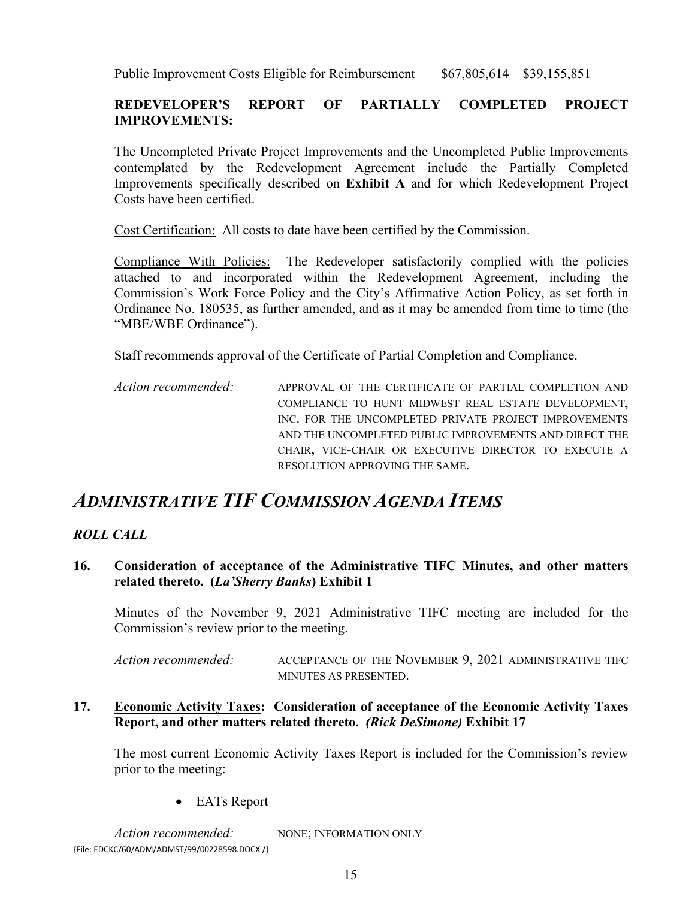Public Improvement Costs Eligible for Reimbursement \$67,805,614 \$39,155,851

#### **REDEVELOPER'S REPORT OF PARTIALLY COMPLETED PROJECT IMPROVEMENTS:**

The Uncompleted Private Project Improvements and the Uncompleted Public Improvements contemplated by the Redevelopment Agreement include the Partially Completed Improvements specifically described on **Exhibit A** and for which Redevelopment Project Costs have been certified.

Cost Certification: All costs to date have been certified by the Commission.

Compliance With Policies:The Redeveloper satisfactorily complied with the policies attached to and incorporated within the Redevelopment Agreement, including the Commission's Work Force Policy and the City's Affirmative Action Policy, as set forth in Ordinance No. 180535, as further amended, and as it may be amended from time to time (the "MBE/WBE Ordinance").

Staff recommends approval of the Certificate of Partial Completion and Compliance.

*Action recommended:* APPROVAL OF THE CERTIFICATE OF PARTIAL COMPLETION AND COMPLIANCE TO HUNT MIDWEST REAL ESTATE DEVELOPMENT, INC. FOR THE UNCOMPLETED PRIVATE PROJECT IMPROVEMENTS AND THE UNCOMPLETED PUBLIC IMPROVEMENTS AND DIRECT THE CHAIR, VICE-CHAIR OR EXECUTIVE DIRECTOR TO EXECUTE A RESOLUTION APPROVING THE SAME.

### *ADMINISTRATIVE TIF COMMISSION AGENDA ITEMS*

#### *ROLL CALL*

#### **16. Consideration of acceptance of the Administrative TIFC Minutes, and other matters related thereto. (***La'Sherry Banks***) Exhibit 1**

Minutes of the November 9, 2021 Administrative TIFC meeting are included for the Commission's review prior to the meeting.

*Action recommended:* ACCEPTANCE OF THE NOVEMBER 9, 2021 ADMINISTRATIVE TIFC MINUTES AS PRESENTED.

#### **17. Economic Activity Taxes: Consideration of acceptance of the Economic Activity Taxes Report, and other matters related thereto.** *(Rick DeSimone)* **Exhibit 17**

The most current Economic Activity Taxes Report is included for the Commission's review prior to the meeting:

• EATs Report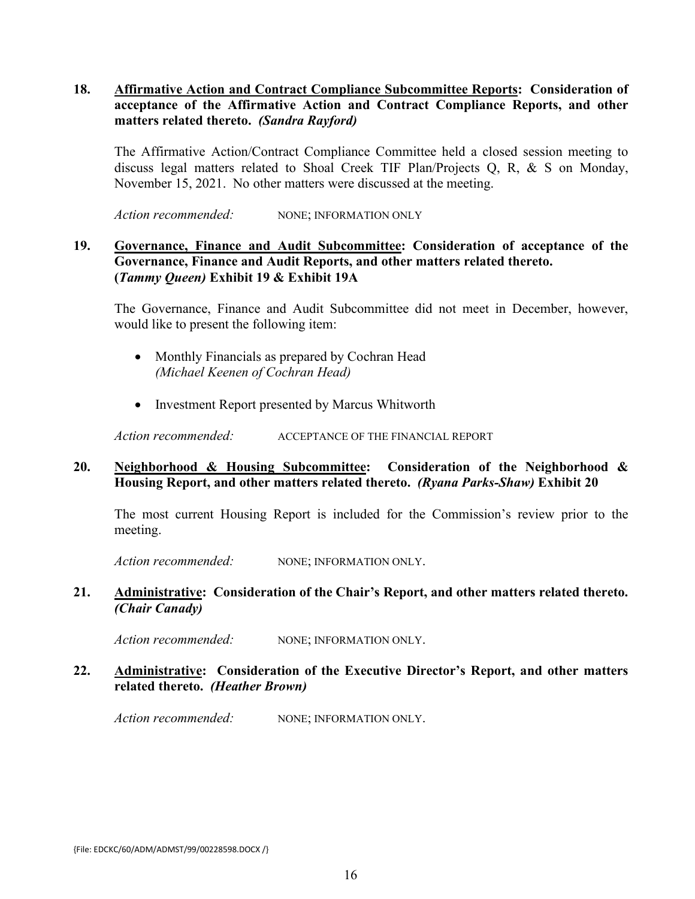#### **18. Affirmative Action and Contract Compliance Subcommittee Reports: Consideration of acceptance of the Affirmative Action and Contract Compliance Reports, and other matters related thereto.** *(Sandra Rayford)*

The Affirmative Action/Contract Compliance Committee held a closed session meeting to discuss legal matters related to Shoal Creek TIF Plan/Projects Q, R, & S on Monday, November 15, 2021. No other matters were discussed at the meeting.

Action recommended: NONE; INFORMATION ONLY

#### **19. Governance, Finance and Audit Subcommittee: Consideration of acceptance of the Governance, Finance and Audit Reports, and other matters related thereto. (***Tammy Queen)* **Exhibit 19 & Exhibit 19A**

The Governance, Finance and Audit Subcommittee did not meet in December, however, would like to present the following item:

- Monthly Financials as prepared by Cochran Head *(Michael Keenen of Cochran Head)*
- Investment Report presented by Marcus Whitworth

Action recommended: ACCEPTANCE OF THE FINANCIAL REPORT

#### **20. Neighborhood & Housing Subcommittee: Consideration of the Neighborhood & Housing Report, and other matters related thereto.** *(Ryana Parks-Shaw)* **Exhibit 20**

The most current Housing Report is included for the Commission's review prior to the meeting.

Action recommended: NONE; INFORMATION ONLY.

#### **21. Administrative: Consideration of the Chair's Report, and other matters related thereto.**  *(Chair Canady)*

Action recommended: NONE; INFORMATION ONLY.

#### **22. Administrative: Consideration of the Executive Director's Report, and other matters related thereto.** *(Heather Brown)*

Action recommended: NONE; INFORMATION ONLY.

{File: EDCKC/60/ADM/ADMST/99/00228598.DOCX /}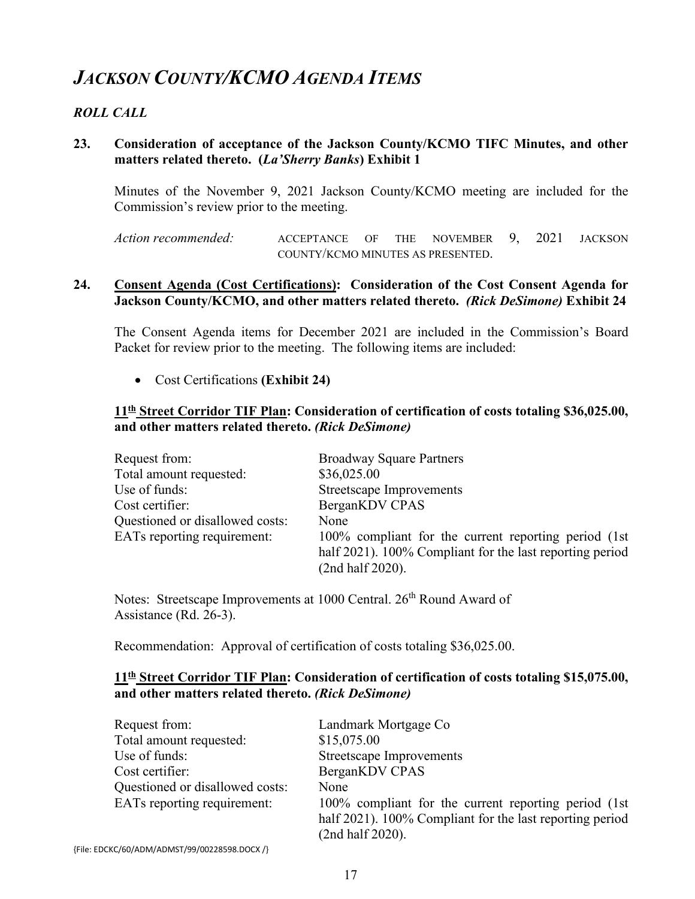# *JACKSON COUNTY/KCMO AGENDA ITEMS*

#### *ROLL CALL*

#### **23. Consideration of acceptance of the Jackson County/KCMO TIFC Minutes, and other matters related thereto. (***La'Sherry Banks***) Exhibit 1**

Minutes of the November 9, 2021 Jackson County/KCMO meeting are included for the Commission's review prior to the meeting.

*Action recommended:* ACCEPTANCE OF THE NOVEMBER 9, 2021 JACKSON COUNTY/KCMO MINUTES AS PRESENTED.

#### **24. Consent Agenda (Cost Certifications): Consideration of the Cost Consent Agenda for Jackson County/KCMO, and other matters related thereto.** *(Rick DeSimone)* **Exhibit 24**

The Consent Agenda items for December 2021 are included in the Commission's Board Packet for review prior to the meeting. The following items are included:

• Cost Certifications **(Exhibit 24)**

#### **11th Street Corridor TIF Plan: Consideration of certification of costs totaling \$36,025.00, and other matters related thereto.** *(Rick DeSimone)*

| Request from:                      | <b>Broadway Square Partners</b>                                                                                                       |
|------------------------------------|---------------------------------------------------------------------------------------------------------------------------------------|
| Total amount requested:            | \$36,025.00                                                                                                                           |
| Use of funds:                      | Streetscape Improvements                                                                                                              |
| Cost certifier:                    | BerganKDV CPAS                                                                                                                        |
| Questioned or disallowed costs:    | None                                                                                                                                  |
| <b>EATs reporting requirement:</b> | 100% compliant for the current reporting period (1st)<br>half 2021). 100% Compliant for the last reporting period<br>(2nd half 2020). |

Notes: Streetscape Improvements at 1000 Central. 26<sup>th</sup> Round Award of Assistance (Rd. 26-3).

Recommendation: Approval of certification of costs totaling \$36,025.00.

#### **11th Street Corridor TIF Plan: Consideration of certification of costs totaling \$15,075.00, and other matters related thereto.** *(Rick DeSimone)*

| Request from:                   | Landmark Mortgage Co                                     |
|---------------------------------|----------------------------------------------------------|
| Total amount requested:         | \$15,075.00                                              |
| Use of funds:                   | <b>Streetscape Improvements</b>                          |
| Cost certifier:                 | BerganKDV CPAS                                           |
| Questioned or disallowed costs: | None                                                     |
| EATs reporting requirement:     | 100% compliant for the current reporting period (1st)    |
|                                 | half 2021). 100% Compliant for the last reporting period |
|                                 | (2nd half 2020).                                         |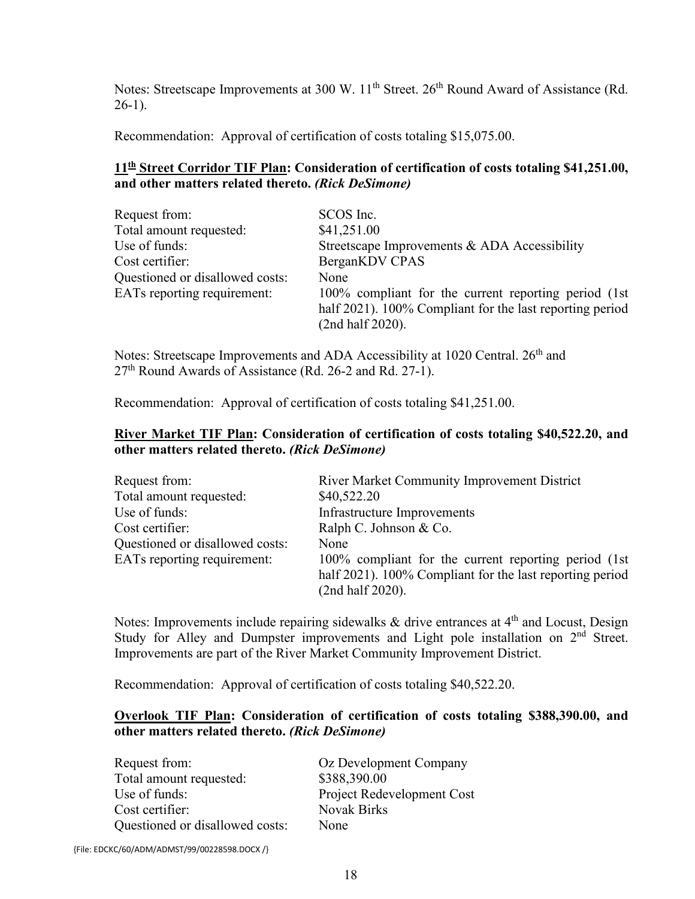Notes: Streetscape Improvements at 300 W. 11<sup>th</sup> Street. 26<sup>th</sup> Round Award of Assistance (Rd.  $26-1$ ).

Recommendation: Approval of certification of costs totaling \$15,075.00.

#### **11th Street Corridor TIF Plan: Consideration of certification of costs totaling \$41,251.00, and other matters related thereto.** *(Rick DeSimone)*

| Request from:                   | SCOS Inc.                                                                                                                             |
|---------------------------------|---------------------------------------------------------------------------------------------------------------------------------------|
| Total amount requested:         | \$41,251.00                                                                                                                           |
| Use of funds:                   | Streetscape Improvements & ADA Accessibility                                                                                          |
| Cost certifier:                 | BerganKDV CPAS                                                                                                                        |
| Questioned or disallowed costs: | None                                                                                                                                  |
| EATs reporting requirement:     | 100% compliant for the current reporting period (1st)<br>half 2021). 100% Compliant for the last reporting period<br>(2nd half 2020). |

Notes: Streetscape Improvements and ADA Accessibility at 1020 Central. 26<sup>th</sup> and 27<sup>th</sup> Round Awards of Assistance (Rd. 26-2 and Rd. 27-1).

Recommendation: Approval of certification of costs totaling \$41,251.00.

#### **River Market TIF Plan: Consideration of certification of costs totaling \$40,522.20, and other matters related thereto.** *(Rick DeSimone)*

| Request from:                   | <b>River Market Community Improvement District</b>                                                                                    |
|---------------------------------|---------------------------------------------------------------------------------------------------------------------------------------|
| Total amount requested:         | \$40,522.20                                                                                                                           |
| Use of funds:                   | Infrastructure Improvements                                                                                                           |
| Cost certifier:                 | Ralph C. Johnson & Co.                                                                                                                |
| Questioned or disallowed costs: | None                                                                                                                                  |
| EATs reporting requirement:     | 100% compliant for the current reporting period (1st)<br>half 2021). 100% Compliant for the last reporting period<br>(2nd half 2020). |

Notes: Improvements include repairing sidewalks & drive entrances at 4<sup>th</sup> and Locust, Design Study for Alley and Dumpster improvements and Light pole installation on  $2<sup>nd</sup>$  Street. Improvements are part of the River Market Community Improvement District.

Recommendation: Approval of certification of costs totaling \$40,522.20.

#### **Overlook TIF Plan: Consideration of certification of costs totaling \$388,390.00, and other matters related thereto.** *(Rick DeSimone)*

| Request from:                   | Oz Development Company     |
|---------------------------------|----------------------------|
| Total amount requested:         | \$388,390.00               |
| Use of funds:                   | Project Redevelopment Cost |
| Cost certifier:                 | <b>Novak Birks</b>         |
| Questioned or disallowed costs: | None                       |

{File: EDCKC/60/ADM/ADMST/99/00228598.DOCX /}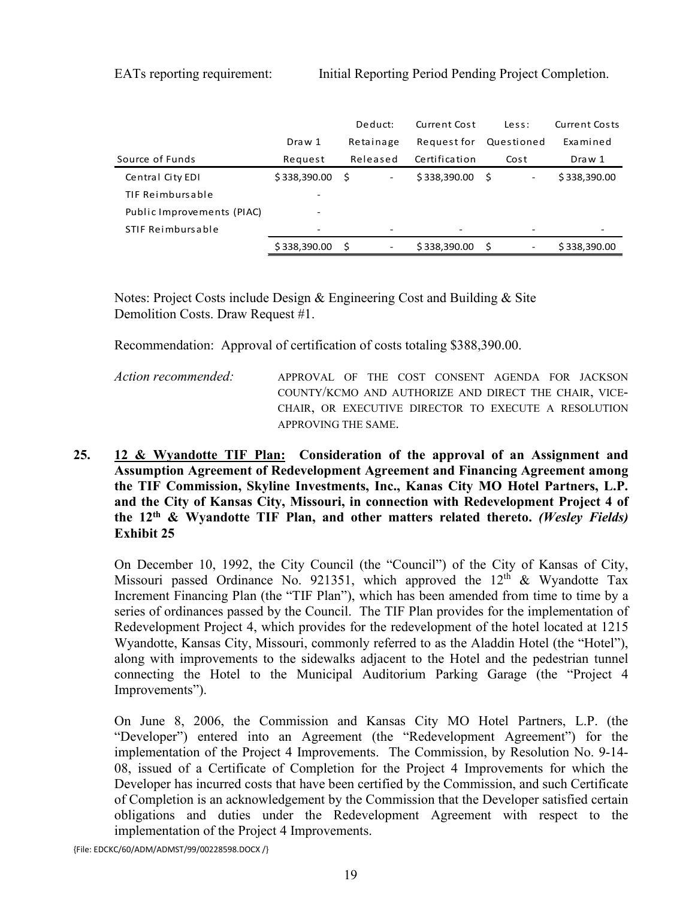|                            |              | Deduct:                          | Current Cost  | Less:                           | Current Costs |
|----------------------------|--------------|----------------------------------|---------------|---------------------------------|---------------|
|                            | Draw 1       | Retainage                        | Request for   | Questioned                      | Examined      |
| Source of Funds            | Request      | Released                         | Certification | Cost                            | Draw 1        |
| Central City EDI           | \$338,390.00 | - \$<br>$\overline{\phantom{a}}$ | \$338,390.00  | - S<br>$\overline{\phantom{a}}$ | \$338,390.00  |
| TIF Reimbursable           |              |                                  |               |                                 |               |
| Public Improvements (PIAC) |              |                                  |               |                                 |               |
| STIF Reimbursable          | ۰            |                                  |               |                                 |               |
|                            | \$338,390.00 | - \$<br>$\overline{\phantom{a}}$ | \$338,390.00  | -S<br>$\overline{\phantom{a}}$  | \$338,390.00  |

Notes: Project Costs include Design & Engineering Cost and Building & Site Demolition Costs. Draw Request #1.

Recommendation: Approval of certification of costs totaling \$388,390.00.

*Action recommended:* APPROVAL OF THE COST CONSENT AGENDA FOR JACKSON COUNTY/KCMO AND AUTHORIZE AND DIRECT THE CHAIR, VICE-CHAIR, OR EXECUTIVE DIRECTOR TO EXECUTE A RESOLUTION APPROVING THE SAME.

**25. 12 & Wyandotte TIF Plan: Consideration of the approval of an Assignment and Assumption Agreement of Redevelopment Agreement and Financing Agreement among the TIF Commission, Skyline Investments, Inc., Kanas City MO Hotel Partners, L.P. and the City of Kansas City, Missouri, in connection with Redevelopment Project 4 of the 12th & Wyandotte TIF Plan, and other matters related thereto.** *(Wesley Fields)* **Exhibit 25**

On December 10, 1992, the City Council (the "Council") of the City of Kansas of City, Missouri passed Ordinance No. 921351, which approved the  $12<sup>th</sup>$  & Wyandotte Tax Increment Financing Plan (the "TIF Plan"), which has been amended from time to time by a series of ordinances passed by the Council. The TIF Plan provides for the implementation of Redevelopment Project 4, which provides for the redevelopment of the hotel located at 1215 Wyandotte, Kansas City, Missouri, commonly referred to as the Aladdin Hotel (the "Hotel"), along with improvements to the sidewalks adjacent to the Hotel and the pedestrian tunnel connecting the Hotel to the Municipal Auditorium Parking Garage (the "Project 4 Improvements").

On June 8, 2006, the Commission and Kansas City MO Hotel Partners, L.P. (the "Developer") entered into an Agreement (the "Redevelopment Agreement") for the implementation of the Project 4 Improvements. The Commission, by Resolution No. 9-14- 08, issued of a Certificate of Completion for the Project 4 Improvements for which the Developer has incurred costs that have been certified by the Commission, and such Certificate of Completion is an acknowledgement by the Commission that the Developer satisfied certain obligations and duties under the Redevelopment Agreement with respect to the implementation of the Project 4 Improvements.

{File: EDCKC/60/ADM/ADMST/99/00228598.DOCX /}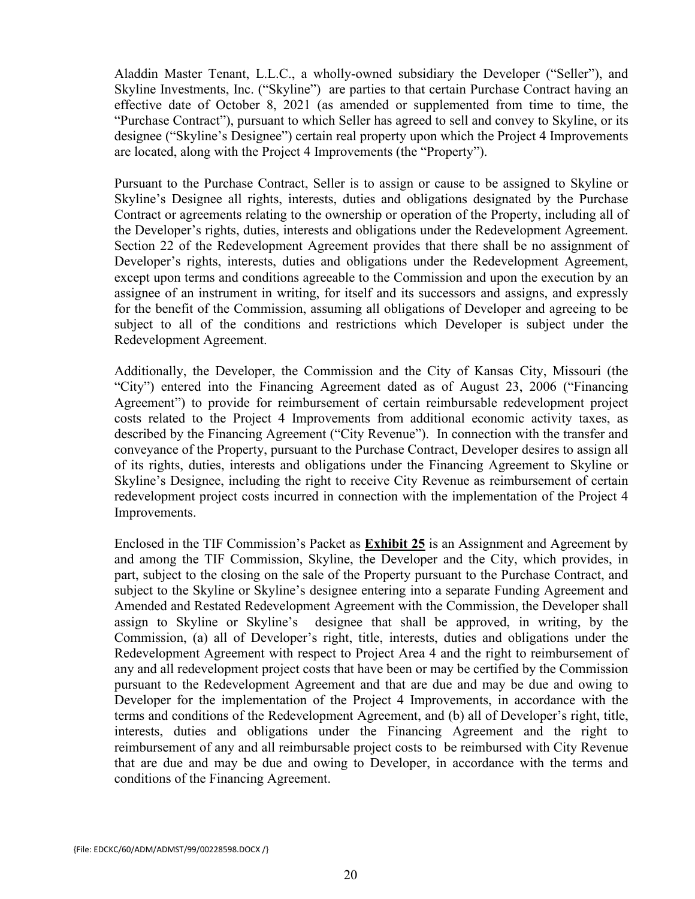Aladdin Master Tenant, L.L.C., a wholly-owned subsidiary the Developer ("Seller"), and Skyline Investments, Inc. ("Skyline") are parties to that certain Purchase Contract having an effective date of October 8, 2021 (as amended or supplemented from time to time, the "Purchase Contract"), pursuant to which Seller has agreed to sell and convey to Skyline, or its designee ("Skyline's Designee") certain real property upon which the Project 4 Improvements are located, along with the Project 4 Improvements (the "Property").

Pursuant to the Purchase Contract, Seller is to assign or cause to be assigned to Skyline or Skyline's Designee all rights, interests, duties and obligations designated by the Purchase Contract or agreements relating to the ownership or operation of the Property, including all of the Developer's rights, duties, interests and obligations under the Redevelopment Agreement. Section 22 of the Redevelopment Agreement provides that there shall be no assignment of Developer's rights, interests, duties and obligations under the Redevelopment Agreement, except upon terms and conditions agreeable to the Commission and upon the execution by an assignee of an instrument in writing, for itself and its successors and assigns, and expressly for the benefit of the Commission, assuming all obligations of Developer and agreeing to be subject to all of the conditions and restrictions which Developer is subject under the Redevelopment Agreement.

Additionally, the Developer, the Commission and the City of Kansas City, Missouri (the "City") entered into the Financing Agreement dated as of August 23, 2006 ("Financing Agreement") to provide for reimbursement of certain reimbursable redevelopment project costs related to the Project 4 Improvements from additional economic activity taxes, as described by the Financing Agreement ("City Revenue"). In connection with the transfer and conveyance of the Property, pursuant to the Purchase Contract, Developer desires to assign all of its rights, duties, interests and obligations under the Financing Agreement to Skyline or Skyline's Designee, including the right to receive City Revenue as reimbursement of certain redevelopment project costs incurred in connection with the implementation of the Project 4 Improvements.

Enclosed in the TIF Commission's Packet as **Exhibit 25** is an Assignment and Agreement by and among the TIF Commission, Skyline, the Developer and the City, which provides, in part, subject to the closing on the sale of the Property pursuant to the Purchase Contract, and subject to the Skyline or Skyline's designee entering into a separate Funding Agreement and Amended and Restated Redevelopment Agreement with the Commission, the Developer shall assign to Skyline or Skyline's designee that shall be approved, in writing, by the Commission, (a) all of Developer's right, title, interests, duties and obligations under the Redevelopment Agreement with respect to Project Area 4 and the right to reimbursement of any and all redevelopment project costs that have been or may be certified by the Commission pursuant to the Redevelopment Agreement and that are due and may be due and owing to Developer for the implementation of the Project 4 Improvements, in accordance with the terms and conditions of the Redevelopment Agreement, and (b) all of Developer's right, title, interests, duties and obligations under the Financing Agreement and the right to reimbursement of any and all reimbursable project costs to be reimbursed with City Revenue that are due and may be due and owing to Developer, in accordance with the terms and conditions of the Financing Agreement.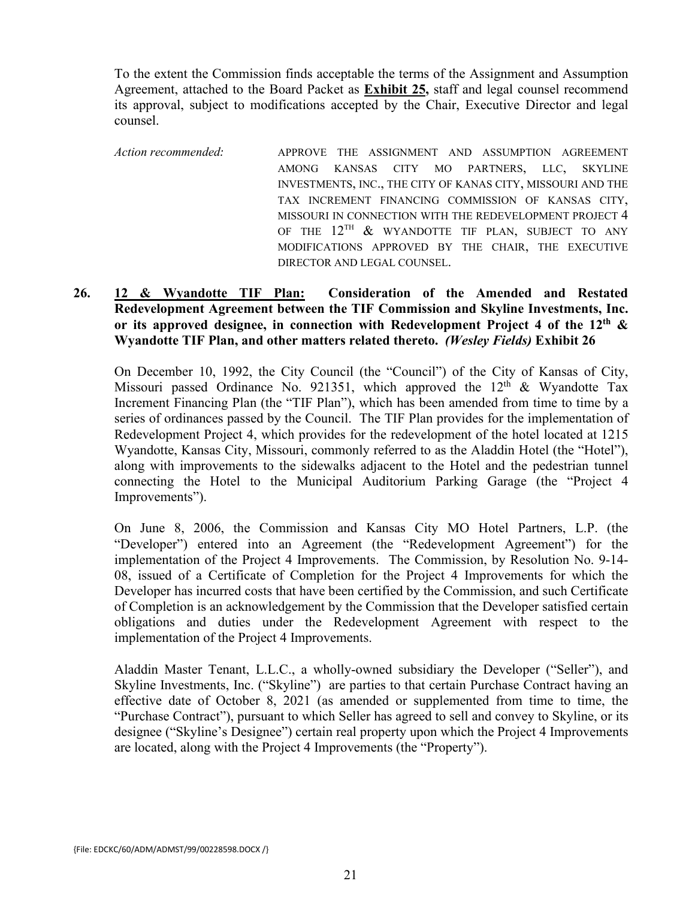To the extent the Commission finds acceptable the terms of the Assignment and Assumption Agreement, attached to the Board Packet as **Exhibit 25,** staff and legal counsel recommend its approval, subject to modifications accepted by the Chair, Executive Director and legal counsel.

*Action recommended:* APPROVE THE ASSIGNMENT AND ASSUMPTION AGREEMENT AMONG KANSAS CITY MO PARTNERS, LLC, SKYLINE INVESTMENTS, INC., THE CITY OF KANAS CITY, MISSOURI AND THE TAX INCREMENT FINANCING COMMISSION OF KANSAS CITY, MISSOURI IN CONNECTION WITH THE REDEVELOPMENT PROJECT 4 OF THE  $12^{\text{TH}}$  & WYANDOTTE TIF PLAN, SUBJECT TO ANY MODIFICATIONS APPROVED BY THE CHAIR, THE EXECUTIVE DIRECTOR AND LEGAL COUNSEL.

#### **26. 12 & Wyandotte TIF Plan: Consideration of the Amended and Restated Redevelopment Agreement between the TIF Commission and Skyline Investments, Inc. or its approved designee, in connection with Redevelopment Project 4 of the 12th & Wyandotte TIF Plan, and other matters related thereto.** *(Wesley Fields)* **Exhibit 26**

On December 10, 1992, the City Council (the "Council") of the City of Kansas of City, Missouri passed Ordinance No. 921351, which approved the  $12<sup>th</sup>$  & Wyandotte Tax Increment Financing Plan (the "TIF Plan"), which has been amended from time to time by a series of ordinances passed by the Council. The TIF Plan provides for the implementation of Redevelopment Project 4, which provides for the redevelopment of the hotel located at 1215 Wyandotte, Kansas City, Missouri, commonly referred to as the Aladdin Hotel (the "Hotel"), along with improvements to the sidewalks adjacent to the Hotel and the pedestrian tunnel connecting the Hotel to the Municipal Auditorium Parking Garage (the "Project 4 Improvements").

On June 8, 2006, the Commission and Kansas City MO Hotel Partners, L.P. (the "Developer") entered into an Agreement (the "Redevelopment Agreement") for the implementation of the Project 4 Improvements. The Commission, by Resolution No. 9-14- 08, issued of a Certificate of Completion for the Project 4 Improvements for which the Developer has incurred costs that have been certified by the Commission, and such Certificate of Completion is an acknowledgement by the Commission that the Developer satisfied certain obligations and duties under the Redevelopment Agreement with respect to the implementation of the Project 4 Improvements.

Aladdin Master Tenant, L.L.C., a wholly-owned subsidiary the Developer ("Seller"), and Skyline Investments, Inc. ("Skyline") are parties to that certain Purchase Contract having an effective date of October 8, 2021 (as amended or supplemented from time to time, the "Purchase Contract"), pursuant to which Seller has agreed to sell and convey to Skyline, or its designee ("Skyline's Designee") certain real property upon which the Project 4 Improvements are located, along with the Project 4 Improvements (the "Property").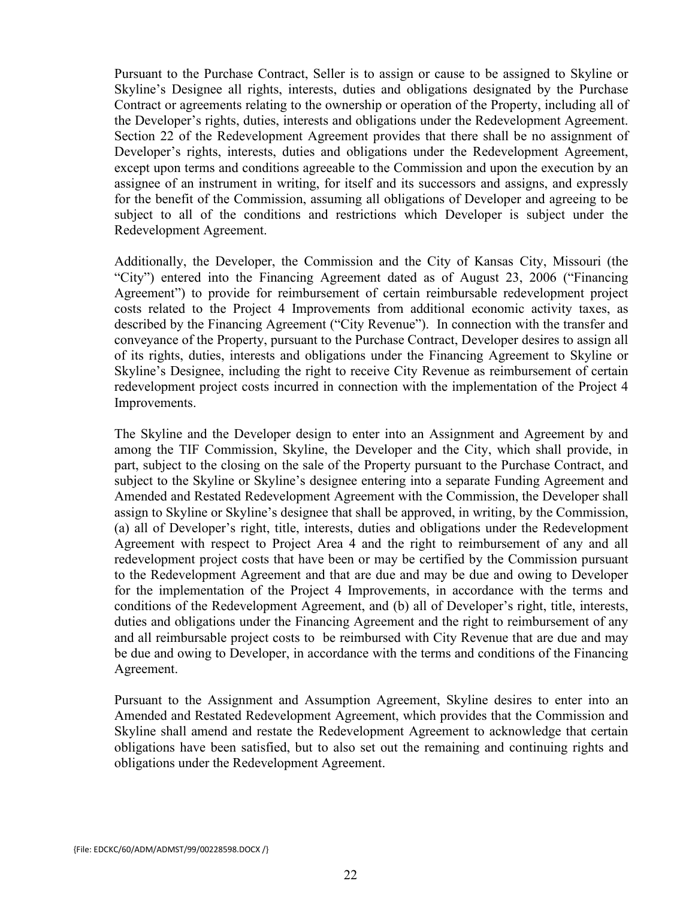Pursuant to the Purchase Contract, Seller is to assign or cause to be assigned to Skyline or Skyline's Designee all rights, interests, duties and obligations designated by the Purchase Contract or agreements relating to the ownership or operation of the Property, including all of the Developer's rights, duties, interests and obligations under the Redevelopment Agreement. Section 22 of the Redevelopment Agreement provides that there shall be no assignment of Developer's rights, interests, duties and obligations under the Redevelopment Agreement, except upon terms and conditions agreeable to the Commission and upon the execution by an assignee of an instrument in writing, for itself and its successors and assigns, and expressly for the benefit of the Commission, assuming all obligations of Developer and agreeing to be subject to all of the conditions and restrictions which Developer is subject under the Redevelopment Agreement.

Additionally, the Developer, the Commission and the City of Kansas City, Missouri (the "City") entered into the Financing Agreement dated as of August 23, 2006 ("Financing Agreement") to provide for reimbursement of certain reimbursable redevelopment project costs related to the Project 4 Improvements from additional economic activity taxes, as described by the Financing Agreement ("City Revenue"). In connection with the transfer and conveyance of the Property, pursuant to the Purchase Contract, Developer desires to assign all of its rights, duties, interests and obligations under the Financing Agreement to Skyline or Skyline's Designee, including the right to receive City Revenue as reimbursement of certain redevelopment project costs incurred in connection with the implementation of the Project 4 Improvements.

The Skyline and the Developer design to enter into an Assignment and Agreement by and among the TIF Commission, Skyline, the Developer and the City, which shall provide, in part, subject to the closing on the sale of the Property pursuant to the Purchase Contract, and subject to the Skyline or Skyline's designee entering into a separate Funding Agreement and Amended and Restated Redevelopment Agreement with the Commission, the Developer shall assign to Skyline or Skyline's designee that shall be approved, in writing, by the Commission, (a) all of Developer's right, title, interests, duties and obligations under the Redevelopment Agreement with respect to Project Area 4 and the right to reimbursement of any and all redevelopment project costs that have been or may be certified by the Commission pursuant to the Redevelopment Agreement and that are due and may be due and owing to Developer for the implementation of the Project 4 Improvements, in accordance with the terms and conditions of the Redevelopment Agreement, and (b) all of Developer's right, title, interests, duties and obligations under the Financing Agreement and the right to reimbursement of any and all reimbursable project costs to be reimbursed with City Revenue that are due and may be due and owing to Developer, in accordance with the terms and conditions of the Financing Agreement.

Pursuant to the Assignment and Assumption Agreement, Skyline desires to enter into an Amended and Restated Redevelopment Agreement, which provides that the Commission and Skyline shall amend and restate the Redevelopment Agreement to acknowledge that certain obligations have been satisfied, but to also set out the remaining and continuing rights and obligations under the Redevelopment Agreement.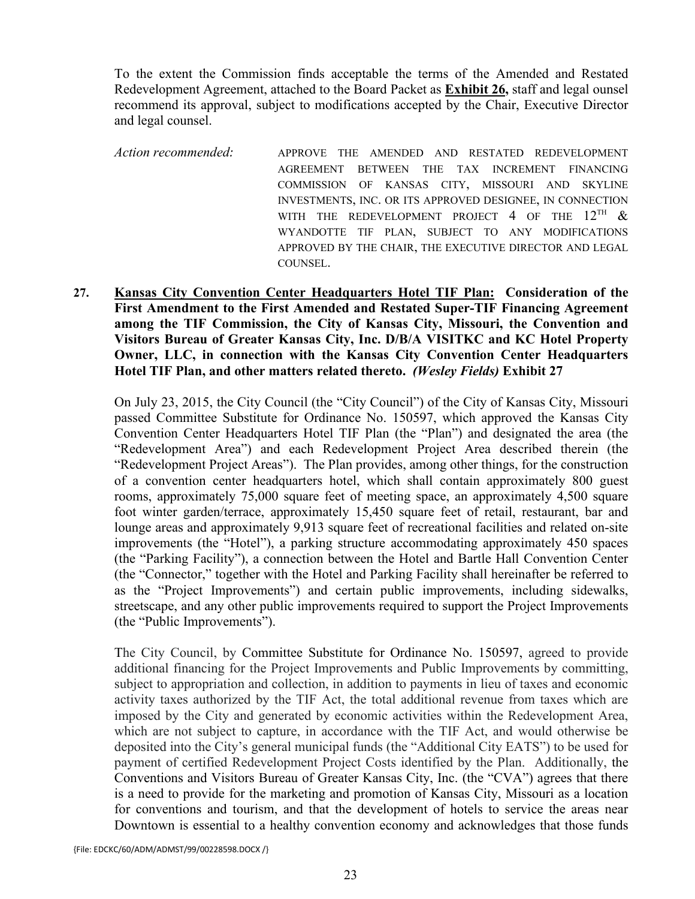To the extent the Commission finds acceptable the terms of the Amended and Restated Redevelopment Agreement, attached to the Board Packet as **Exhibit 26,** staff and legal ounsel recommend its approval, subject to modifications accepted by the Chair, Executive Director and legal counsel.

*Action recommended:* APPROVE THE AMENDED AND RESTATED REDEVELOPMENT AGREEMENT BETWEEN THE TAX INCREMENT FINANCING COMMISSION OF KANSAS CITY, MISSOURI AND SKYLINE INVESTMENTS, INC. OR ITS APPROVED DESIGNEE, IN CONNECTION WITH THE REDEVELOPMENT PROJECT 4 OF THE  $12^{TH}$  & WYANDOTTE TIF PLAN, SUBJECT TO ANY MODIFICATIONS APPROVED BY THE CHAIR, THE EXECUTIVE DIRECTOR AND LEGAL COUNSEL.

**27. Kansas City Convention Center Headquarters Hotel TIF Plan: Consideration of the First Amendment to the First Amended and Restated Super-TIF Financing Agreement among the TIF Commission, the City of Kansas City, Missouri, the Convention and Visitors Bureau of Greater Kansas City, Inc. D/B/A VISITKC and KC Hotel Property Owner, LLC, in connection with the Kansas City Convention Center Headquarters Hotel TIF Plan, and other matters related thereto.** *(Wesley Fields)* **Exhibit 27**

On July 23, 2015, the City Council (the "City Council") of the City of Kansas City, Missouri passed Committee Substitute for Ordinance No. 150597, which approved the Kansas City Convention Center Headquarters Hotel TIF Plan (the "Plan") and designated the area (the "Redevelopment Area") and each Redevelopment Project Area described therein (the "Redevelopment Project Areas"). The Plan provides, among other things, for the construction of a convention center headquarters hotel, which shall contain approximately 800 guest rooms, approximately 75,000 square feet of meeting space, an approximately 4,500 square foot winter garden/terrace, approximately 15,450 square feet of retail, restaurant, bar and lounge areas and approximately 9,913 square feet of recreational facilities and related on-site improvements (the "Hotel"), a parking structure accommodating approximately 450 spaces (the "Parking Facility"), a connection between the Hotel and Bartle Hall Convention Center (the "Connector," together with the Hotel and Parking Facility shall hereinafter be referred to as the "Project Improvements") and certain public improvements, including sidewalks, streetscape, and any other public improvements required to support the Project Improvements (the "Public Improvements").

The City Council, by Committee Substitute for Ordinance No. 150597, agreed to provide additional financing for the Project Improvements and Public Improvements by committing, subject to appropriation and collection, in addition to payments in lieu of taxes and economic activity taxes authorized by the TIF Act, the total additional revenue from taxes which are imposed by the City and generated by economic activities within the Redevelopment Area, which are not subject to capture, in accordance with the TIF Act, and would otherwise be deposited into the City's general municipal funds (the "Additional City EATS") to be used for payment of certified Redevelopment Project Costs identified by the Plan. Additionally, the Conventions and Visitors Bureau of Greater Kansas City, Inc. (the "CVA") agrees that there is a need to provide for the marketing and promotion of Kansas City, Missouri as a location for conventions and tourism, and that the development of hotels to service the areas near Downtown is essential to a healthy convention economy and acknowledges that those funds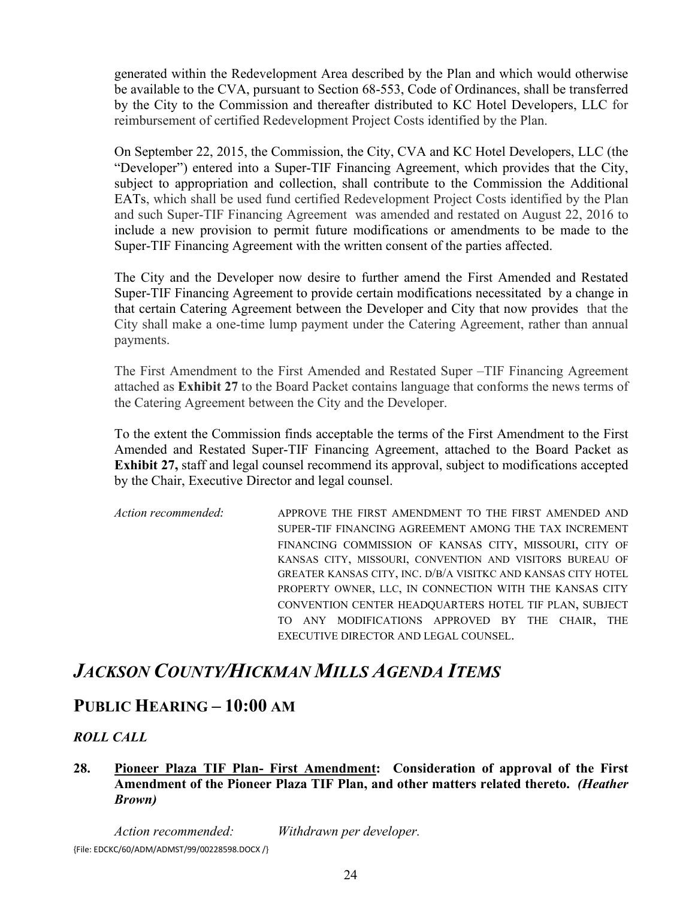generated within the Redevelopment Area described by the Plan and which would otherwise be available to the CVA, pursuant to Section 68-553, Code of Ordinances, shall be transferred by the City to the Commission and thereafter distributed to KC Hotel Developers, LLC for reimbursement of certified Redevelopment Project Costs identified by the Plan.

On September 22, 2015, the Commission, the City, CVA and KC Hotel Developers, LLC (the "Developer") entered into a Super-TIF Financing Agreement, which provides that the City, subject to appropriation and collection, shall contribute to the Commission the Additional EATs, which shall be used fund certified Redevelopment Project Costs identified by the Plan and such Super-TIF Financing Agreement was amended and restated on August 22, 2016 to include a new provision to permit future modifications or amendments to be made to the Super-TIF Financing Agreement with the written consent of the parties affected.

The City and the Developer now desire to further amend the First Amended and Restated Super-TIF Financing Agreement to provide certain modifications necessitated by a change in that certain Catering Agreement between the Developer and City that now provides that the City shall make a one-time lump payment under the Catering Agreement, rather than annual payments.

The First Amendment to the First Amended and Restated Super –TIF Financing Agreement attached as **Exhibit 27** to the Board Packet contains language that conforms the news terms of the Catering Agreement between the City and the Developer.

To the extent the Commission finds acceptable the terms of the First Amendment to the First Amended and Restated Super-TIF Financing Agreement, attached to the Board Packet as **Exhibit 27,** staff and legal counsel recommend its approval, subject to modifications accepted by the Chair, Executive Director and legal counsel.

*Action recommended:* APPROVE THE FIRST AMENDMENT TO THE FIRST AMENDED AND SUPER-TIF FINANCING AGREEMENT AMONG THE TAX INCREMENT FINANCING COMMISSION OF KANSAS CITY, MISSOURI, CITY OF KANSAS CITY, MISSOURI, CONVENTION AND VISITORS BUREAU OF GREATER KANSAS CITY, INC. D/B/A VISITKC AND KANSAS CITY HOTEL PROPERTY OWNER, LLC, IN CONNECTION WITH THE KANSAS CITY CONVENTION CENTER HEADQUARTERS HOTEL TIF PLAN, SUBJECT TO ANY MODIFICATIONS APPROVED BY THE CHAIR, THE EXECUTIVE DIRECTOR AND LEGAL COUNSEL.

### *JACKSON COUNTY/HICKMAN MILLS AGENDA ITEMS*

### **PUBLIC HEARING – 10:00 AM**

### *ROLL CALL*

#### **28. Pioneer Plaza TIF Plan- First Amendment: Consideration of approval of the First Amendment of the Pioneer Plaza TIF Plan, and other matters related thereto.** *(Heather Brown)*

{File: EDCKC/60/ADM/ADMST/99/00228598.DOCX /} *Action recommended: Withdrawn per developer.*